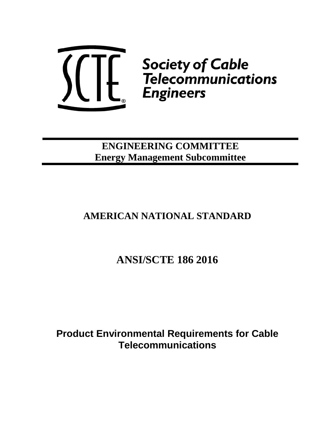

**ENGINEERING COMMITTEE Energy Management Subcommittee**

# **AMERICAN NATIONAL STANDARD**

# **ANSI/SCTE 186 2016**

**Product Environmental Requirements for Cable Telecommunications**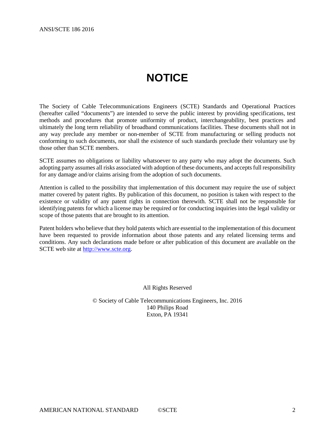# **NOTICE**

<span id="page-1-0"></span>The Society of Cable Telecommunications Engineers (SCTE) Standards and Operational Practices (hereafter called "documents") are intended to serve the public interest by providing specifications, test methods and procedures that promote uniformity of product, interchangeability, best practices and ultimately the long term reliability of broadband communications facilities. These documents shall not in any way preclude any member or non-member of SCTE from manufacturing or selling products not conforming to such documents, nor shall the existence of such standards preclude their voluntary use by those other than SCTE members.

SCTE assumes no obligations or liability whatsoever to any party who may adopt the documents. Such adopting party assumes all risks associated with adoption of these documents, and accepts full responsibility for any damage and/or claims arising from the adoption of such documents.

Attention is called to the possibility that implementation of this document may require the use of subject matter covered by patent rights. By publication of this document, no position is taken with respect to the existence or validity of any patent rights in connection therewith. SCTE shall not be responsible for identifying patents for which a license may be required or for conducting inquiries into the legal validity or scope of those patents that are brought to its attention.

Patent holders who believe that they hold patents which are essential to the implementation of this document have been requested to provide information about those patents and any related licensing terms and conditions. Any such declarations made before or after publication of this document are available on the SCTE web site at [http://www.scte.org.](http://www.scte.org/)

All Rights Reserved

© Society of Cable Telecommunications Engineers, Inc. 2016 140 Philips Road Exton, PA 19341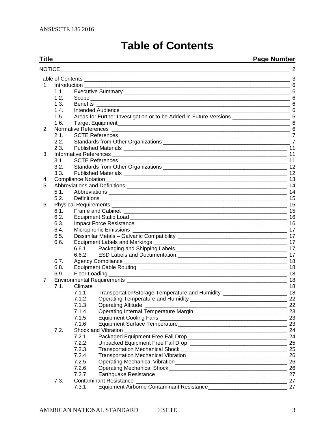|  |  |  | <b>Table of Contents</b> |
|--|--|--|--------------------------|
|--|--|--|--------------------------|

#### <span id="page-2-0"></span>**Title Page Number**

| $1_{-}$        |      |                                                                                                                                                       |                                                                                       |  |  |  |  |
|----------------|------|-------------------------------------------------------------------------------------------------------------------------------------------------------|---------------------------------------------------------------------------------------|--|--|--|--|
|                | 1.1. |                                                                                                                                                       |                                                                                       |  |  |  |  |
|                | 1.2. |                                                                                                                                                       | $6\phantom{1}6$<br>6                                                                  |  |  |  |  |
|                | 1.3. |                                                                                                                                                       | $\,6$                                                                                 |  |  |  |  |
|                | 1.4. | <u> 1989 - Johann Harry Harry Harry Harry Harry Harry Harry Harry Harry Harry Harry Harry Harry Harry Harry Harry</u>                                 | 6                                                                                     |  |  |  |  |
|                | 1.5. | Areas for Further Investigation or to be Added in Future Versions __________________________________ 6                                                |                                                                                       |  |  |  |  |
|                | 1.6. |                                                                                                                                                       |                                                                                       |  |  |  |  |
| 2.             |      |                                                                                                                                                       |                                                                                       |  |  |  |  |
|                | 2.1. |                                                                                                                                                       |                                                                                       |  |  |  |  |
|                | 2.2. |                                                                                                                                                       |                                                                                       |  |  |  |  |
|                | 2.3. |                                                                                                                                                       |                                                                                       |  |  |  |  |
| 3.             |      | <b>Informative References</b><br><u> 2000 - Jan James James James James James James James James James James James James James James James James J</u> | 11                                                                                    |  |  |  |  |
|                | 3.1. |                                                                                                                                                       | 11                                                                                    |  |  |  |  |
|                | 3.2. |                                                                                                                                                       | 12                                                                                    |  |  |  |  |
|                | 3.3. |                                                                                                                                                       | 12                                                                                    |  |  |  |  |
| 4.             |      |                                                                                                                                                       | 13                                                                                    |  |  |  |  |
| 5.             |      |                                                                                                                                                       | 14                                                                                    |  |  |  |  |
|                | 5.1. |                                                                                                                                                       | 14                                                                                    |  |  |  |  |
|                | 5.2. | Definitions                                                                                                                                           | 15                                                                                    |  |  |  |  |
| 6.             |      |                                                                                                                                                       | 15                                                                                    |  |  |  |  |
|                | 6.1. |                                                                                                                                                       | 15                                                                                    |  |  |  |  |
|                | 6.2. |                                                                                                                                                       | -16                                                                                   |  |  |  |  |
|                | 6.3. |                                                                                                                                                       |                                                                                       |  |  |  |  |
|                |      |                                                                                                                                                       |                                                                                       |  |  |  |  |
|                | 6.4. | Microphonic Emissions __________                                                                                                                      |                                                                                       |  |  |  |  |
|                | 6.5. |                                                                                                                                                       |                                                                                       |  |  |  |  |
|                | 6.6. |                                                                                                                                                       | 17                                                                                    |  |  |  |  |
|                |      | 6.6.1.                                                                                                                                                | 17                                                                                    |  |  |  |  |
|                |      | 6.6.2.                                                                                                                                                | 17                                                                                    |  |  |  |  |
|                | 6.7. |                                                                                                                                                       | 18                                                                                    |  |  |  |  |
|                | 6.8. |                                                                                                                                                       | 18                                                                                    |  |  |  |  |
|                | 6.9. | Floor Loading                                                                                                                                         | 18                                                                                    |  |  |  |  |
| 7 <sub>1</sub> |      |                                                                                                                                                       | 18                                                                                    |  |  |  |  |
|                | 7.1. | Climate                                                                                                                                               | 18<br>the contract of the contract of the contract of the contract of the contract of |  |  |  |  |
|                |      | Transportation/Storage Temperature and Humidity ________________________________ 18<br>7.1.1.                                                         |                                                                                       |  |  |  |  |
|                |      | 7.1.2.                                                                                                                                                |                                                                                       |  |  |  |  |
|                |      | 7.1.3. Operating Altitude                                                                                                                             | 22                                                                                    |  |  |  |  |
|                |      | 7.1.4.                                                                                                                                                | 23                                                                                    |  |  |  |  |
|                |      | 7.1.5.                                                                                                                                                | 23                                                                                    |  |  |  |  |
|                |      | 7.1.6.                                                                                                                                                | 23                                                                                    |  |  |  |  |
|                | 7.2. | Shock and Vibration Shock and Vibration                                                                                                               | 24                                                                                    |  |  |  |  |
|                |      | 7.2.1.                                                                                                                                                | 24                                                                                    |  |  |  |  |
|                |      | 7.2.2.                                                                                                                                                | 25                                                                                    |  |  |  |  |
|                |      | 7.2.3.                                                                                                                                                | 25                                                                                    |  |  |  |  |
|                |      | 7.2.4.                                                                                                                                                | 26                                                                                    |  |  |  |  |
|                |      | 7.2.5.                                                                                                                                                | 26                                                                                    |  |  |  |  |
|                |      | 7.2.6.                                                                                                                                                | 26                                                                                    |  |  |  |  |
|                |      | 7.2.7.                                                                                                                                                | 27                                                                                    |  |  |  |  |
|                | 7.3. |                                                                                                                                                       |                                                                                       |  |  |  |  |
|                |      | 7.3.1.                                                                                                                                                |                                                                                       |  |  |  |  |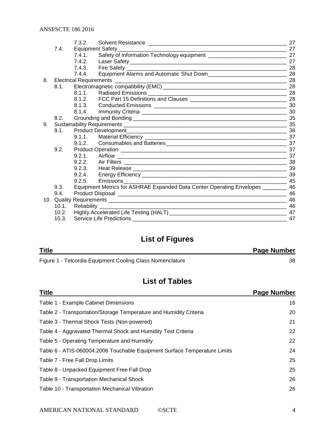|    |       | 7.3.2. |                                                                                    | 27 |
|----|-------|--------|------------------------------------------------------------------------------------|----|
|    | 7.4.  |        | Equipment Safety_<br><u> 1989 - Jan Barbara, martxa al Indonesia (h. 1989).</u>    | 27 |
|    |       | 7.4.1  |                                                                                    |    |
|    |       |        |                                                                                    |    |
|    |       |        |                                                                                    | 28 |
|    |       | 7.4.4. | Equipment Alarms and Automatic Shut Down                                           |    |
| 8. |       |        |                                                                                    | 28 |
|    | 8.1.  |        |                                                                                    |    |
|    |       | 8.1.1  |                                                                                    |    |
|    |       |        |                                                                                    |    |
|    |       |        |                                                                                    |    |
|    |       |        |                                                                                    |    |
|    | 8.2.  |        |                                                                                    |    |
| 9. |       |        |                                                                                    |    |
|    | 9.1.  |        |                                                                                    |    |
|    |       | 9.1.1. |                                                                                    |    |
|    |       |        |                                                                                    |    |
|    | 9.2.  |        |                                                                                    |    |
|    |       |        |                                                                                    | 37 |
|    |       |        |                                                                                    |    |
|    |       |        |                                                                                    |    |
|    |       |        |                                                                                    |    |
|    |       | 9.2.5  | $\sim$ 45<br>Emissions                                                             |    |
|    | 9.3.  |        | Equipment Metrics for ASHRAE Expanded Data Center Operating Envelopes _________ 46 |    |
|    | 9.4.  |        |                                                                                    |    |
|    |       |        |                                                                                    | 46 |
|    | 10.1. |        | Reliability                                                                        |    |
|    | 10.2. |        |                                                                                    | 47 |
|    | 10.3. |        |                                                                                    | 47 |

## **List of Figures**

| <b>Title</b>                                              | <b>Page Number</b> |
|-----------------------------------------------------------|--------------------|
| Figure 1 - Telcordia Equipment Cooling Class Nomenclature | 38                 |

## **List of Tables**

| <b>Title</b>                                                              | <b>Page Number</b> |
|---------------------------------------------------------------------------|--------------------|
| Table 1 - Example Cabinet Dimensions                                      | 16                 |
| Table 2 - Transportation/Storage Temperature and Humidity Criteria        | 20                 |
| Table 3 - Thermal Shock Tests (Non-powered)                               | 21                 |
| Table 4 - Aggravated Thermal Shock and Humidity Test Criteria             | 22                 |
| Table 5 - Operating Temperature and Humidity                              | 22                 |
| Table 6 - ATIS-060004.2006 Touchable Equipment Surface Temperature Limits | 24                 |
| Table 7 - Free Fall Drop Limits                                           | 25                 |
| Table 8 - Unpacked Equipment Free Fall Drop                               | 25                 |
| Table 9 - Transportation Mechanical Shock                                 | 26                 |
| Table 10 - Transportation Mechanical Vibration                            | 26                 |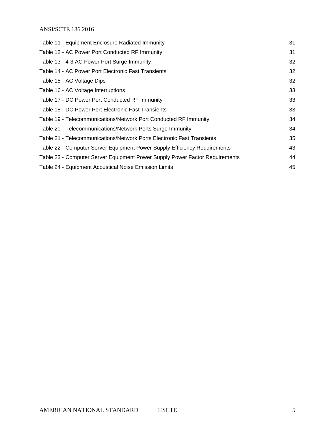| Table 11 - Equipment Enclosure Radiated Immunity                            | 31 |
|-----------------------------------------------------------------------------|----|
| Table 12 - AC Power Port Conducted RF Immunity                              | 31 |
| Table 13 - 4-3 AC Power Port Surge Immunity                                 | 32 |
| Table 14 - AC Power Port Electronic Fast Transients                         | 32 |
| Table 15 - AC Voltage Dips                                                  | 32 |
| Table 16 - AC Voltage Interruptions                                         | 33 |
| Table 17 - DC Power Port Conducted RF Immunity                              | 33 |
| Table 18 - DC Power Port Electronic Fast Transients                         | 33 |
| Table 19 - Telecommunications/Network Port Conducted RF Immunity            | 34 |
| Table 20 - Telecommunications/Network Ports Surge Immunity                  | 34 |
| Table 21 - Telecommunications/Network Ports Electronic Fast Transients      | 35 |
| Table 22 - Computer Server Equipment Power Supply Efficiency Requirements   | 43 |
| Table 23 - Computer Server Equipment Power Supply Power Factor Requirements | 44 |
| Table 24 - Equipment Acoustical Noise Emission Limits                       | 45 |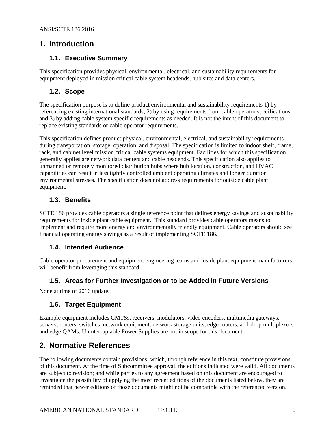## <span id="page-5-1"></span><span id="page-5-0"></span>**1. Introduction**

#### **1.1. Executive Summary**

This specification provides physical, environmental, electrical, and sustainability requirements for equipment deployed in mission critical cable system headends, hub sites and data centers.

#### <span id="page-5-2"></span>**1.2. Scope**

The specification purpose is to define product environmental and sustainability requirements 1) by referencing existing international standards; 2) by using requirements from cable operator specifications; and 3) by adding cable system specific requirements as needed. It is not the intent of this document to replace existing standards or cable operator requirements.

This specification defines product physical, environmental, electrical, and sustainability requirements during transportation, storage, operation, and disposal. The specification is limited to indoor shelf, frame, rack, and cabinet level mission critical cable systems equipment. Facilities for which this specification generally applies are network data centers and cable headends. This specification also applies to unmanned or remotely monitored distribution hubs where hub location, construction, and HVAC capabilities can result in less tightly controlled ambient operating climates and longer duration environmental stresses. The specification does not address requirements for outside cable plant equipment.

#### <span id="page-5-3"></span>**1.3. Benefits**

SCTE 186 provides cable operators a single reference point that defines energy savings and sustainability requirements for inside plant cable equipment. This standard provides cable operators means to implement and require more energy and environmentally friendly equipment. Cable operators should see financial operating energy savings as a result of implementing SCTE 186.

#### <span id="page-5-4"></span>**1.4. Intended Audience**

Cable operator procurement and equipment engineering teams and inside plant equipment manufacturers will benefit from leveraging this standard.

#### <span id="page-5-5"></span>**1.5. Areas for Further Investigation or to be Added in Future Versions**

<span id="page-5-6"></span>None at time of 2016 update.

#### **1.6. Target Equipment**

Example equipment includes CMTSs, receivers, modulators, video encoders, multimedia gateways, servers, routers, switches, network equipment, network storage units, edge routers, add-drop multiplexors and edge QAMs. Uninterruptable Power Supplies are not in scope for this document.

## <span id="page-5-7"></span>**2. Normative References**

The following documents contain provisions, which, through reference in this text, constitute provisions of this document. At the time of Subcommittee approval, the editions indicated were valid. All documents are subject to revision; and while parties to any agreement based on this document are encouraged to investigate the possibility of applying the most recent editions of the documents listed below, they are reminded that newer editions of those documents might not be compatible with the referenced version.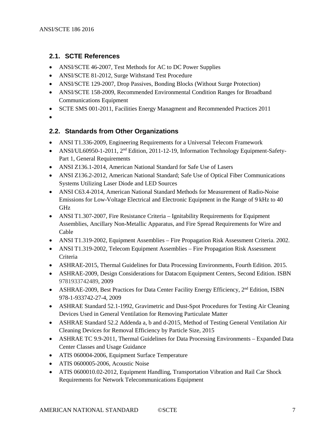#### <span id="page-6-0"></span>**2.1. SCTE References**

- ANSI/SCTE 46-2007, Test Methods for AC to DC Power Supplies
- ANSI/SCTE 81-2012, Surge Withstand Test Procedure
- ANSI/SCTE 129-2007, Drop Passives, Bonding Blocks (Without Surge Protection)
- ANSI/SCTE 158-2009, Recommended Environmental Condition Ranges for Broadband Communications Equipment
- <span id="page-6-2"></span>• SCTE SMS 001-2011, Facilities Energy Managment and Recommended Practices 2011
- •

#### <span id="page-6-1"></span>**2.2. Standards from Other Organizations**

- ANSI T1.336-2009, Engineering Requirements for a Universal Telecom Framework
- <span id="page-6-3"></span>• ANSI/UL60950-1-2011, 2<sup>nd</sup> Edition, 2011-12-19, Information Technology Equipment-Safety-Part 1, General Requirements
- <span id="page-6-4"></span>• ANSI Z136.1-2014, American National Standard for Safe Use of Lasers
- <span id="page-6-5"></span>• ANSI Z136.2-2012, American National Standard; Safe Use of Optical Fiber Communications Systems Utilizing Laser Diode and LED Sources
- ANSI C63.4-2014, American National Standard Methods for Measurement of Radio-Noise Emissions for Low-Voltage Electrical and Electronic Equipment in the Range of 9 kHz to 40 GHz
- ANSI T1.307-2007, Fire Resistance Criteria Ignitability Requirements for Equipment Assemblies, Ancillary Non-Metallic Apparatus, and Fire Spread Requirements for Wire and Cable
- ANSI T1.319-2002, Equipment Assemblies Fire Propagation Risk Assessment Criteria. 2002.
- ANSI T1.319-2002, Telecom Equipment Assemblies Fire Propagation Risk Assessment Criteria
- <span id="page-6-8"></span>• ASHRAE-2015, Thermal Guidelines for Data Processing Environments, Fourth Edition. 2015.
- ASHRAE-2009, Design Considerations for Datacom Equipment Centers, Second Edition. ISBN 9781933742489, 2009
- ASHRAE-2009, Best Practices for Data Center Facility Energy Efficiency,  $2<sup>nd</sup>$  Edition, ISBN 978-1-933742-27-4, 2009
- <span id="page-6-6"></span>• ASHRAE Standard 52.1-1992, Gravimetric and Dust-Spot Procedures for Testing Air Cleaning Devices Used in General Ventilation for Removing Particulate Matter
- <span id="page-6-7"></span>• ASHRAE Standard 52.2 Addenda a, b and d-2015, Method of Testing General Ventilation Air Cleaning Devices for Removal Efficiency by Particle Size, 2015
- ASHRAE TC 9.9-2011, Thermal Guidelines for Data Processing Environments Expanded Data Center Classes and Usage Guidance
- ATIS 060004-2006, Equipment Surface Temperature
- ATIS 0600005-2006, Acoustic Noise
- ATIS 0600010.02-2012, Equipment Handling, Transportation Vibration and Rail Car Shock Requirements for Network Telecommunications Equipment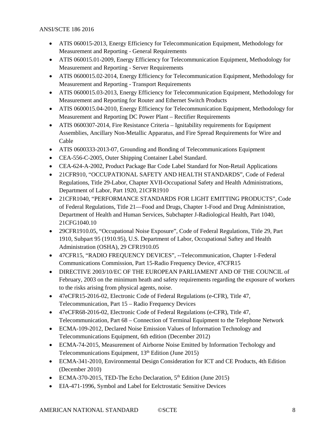- ATIS 060015-2013, Energy Efficiency for Telecommunication Equipment, Methodology for Measurement and Reporting - General Requirements
- ATIS 060015.01-2009, Energy Efficiency for Telecommunication Equipment, Methodology for Measurement and Reporting - Server Requirements
- ATIS 0600015.02-2014, Energy Efficiency for Telecommunication Equipment, Methodology for Measurement and Reporting - Transport Requirements
- ATIS 0600015.03-2013, Energy Efficiency for Telecommunication Equipment, Methodology for Measurement and Reporting for Router and Ethernet Switch Products
- ATIS 0600015.04-2010, Energy Efficiency for Telecommunication Equipment, Methodology for Measurement and Reporting DC Power Plant – Rectifier Requirements
- ATIS 0600307-2014, Fire Resistance Criteria Ignitability requirements for Equipment Assemblies, Ancillary Non-Metallic Apparatus, and Fire Spread Requirements for Wire and Cable
- <span id="page-7-0"></span>• ATIS 0600333-2013-07, Grounding and Bonding of Telecommunications Equipment
- <span id="page-7-2"></span>• CEA-556-C-2005, Outer Shipping Container Label Standard.
- <span id="page-7-3"></span>• CEA-624-A-2002, Product Package Bar Code Label Standard for Non-Retail Applications
- 21CFR910, "OCCUPATIONAL SAFETY AND HEALTH STANDARDS", Code of Federal Regulations, Title 29-Labor, Chapter XVII-Occupational Safety and Health Administrations, Department of Labor, Part 1920, 21CFR1910
- <span id="page-7-1"></span>• 21CFR1040, "PERFORMANCE STANDARDS FOR LIGHT EMITTING PRODUCTS", Code of Federal Regulations, Title 21—Food and Drugs, Chapter 1-Food and Drug Administration, Department of Health and Human Services, Subchapter J-Radiological Health, Part 1040, 21CFG1040.10
- 29CFR1910.05, "Occupational Noise Exposure", Code of Federal Regulations, Title 29, Part 1910, Subpart 95 (1910.95), U.S. Department of Labor, Occupational Saftey and Health Administration (OSHA), 29 CFR1910.05
- <span id="page-7-4"></span>• 47CFR15, "RADIO FREQUENCY DEVICES", --Telecommunication, Chapter 1-Federal Communications Commission, Part 15-Radio Frequency Device, 47CFR15
- DIRECTIVE 2003/10/EC OF THE EUROPEAN PARLIAMENT AND OF THE COUNCIL of February, 2003 on the minimum heath and safety requirements regarding the exposure of workers to the risks arising from physical agents, noise.
- 47eCFR15-2016-02, Electronic Code of Federal Regulations (e-CFR), Title 47, Telecommunication, Part 15 – Radio Frequency Devices
- 47eCFR68-2016-02, Electronic Code of Federal Regulations (e-CFR), Title 47, Telecommunication, Part 68 – Connection of Terminal Equipment to the Telephone Network
- <span id="page-7-8"></span>• ECMA-109-2012, Declared Noise Emission Values of Information Technology and Telecommunications Equipment, 6th edition (December 2012)
- <span id="page-7-7"></span><span id="page-7-5"></span>• ECMA-74-2015, Measurement of Airborne Noise Emitted by Information Techology and Telecommunications Equipment, 13th Edition (June 2015)
- ECMA-341-2010, Environmental Design Consideration for ICT and CE Products, 4th Edition (December 2010)
- <span id="page-7-6"></span>• ECMA-370-2015, TED-The Echo Declaration,  $5<sup>th</sup>$  Edition (June 2015)
- EIA-471-1996, Symbol and Label for Eelctrostatic Sensitive Devices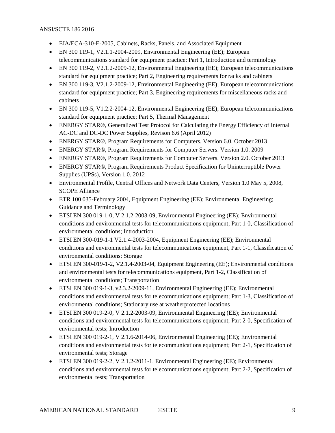- EIA/ECA-310-E-2005, Cabinets, Racks, Panels, and Associated Equipment
- EN 300 119-1, V2.1.1-2004-2009, Environmental Engineering (EE); European telecommunications standard for equipment practice; Part 1, Introduction and terminology
- <span id="page-8-0"></span>• EN 300 119-2, V2.1.2-2009-12, Environmental Engineering (EE); European telecommunications standard for equipment practice; Part 2, Engineering requirements for racks and cabinets
- <span id="page-8-1"></span>• EN 300 119-3, V2.1.2-2009-12, Environmental Engineering (EE); European telecommunications standard for equipment practice; Part 3, Engineering requirements for miscellaneous racks and cabinets
- EN 300 119-5, V1.2.2-2004-12, Environmental Engineering (EE); European telecommunications standard for equipment practice; Part 5, Thermal Management
- ENERGY STAR®, Generalized Test Protocol for Calculating the Energy Efficiency of Internal AC-DC and DC-DC Power Supplies, Revison 6.6 (April 2012)
- ENERGY STAR®, Program Requirements for Computers. Version 6.0. October 2013
- ENERGY STAR®, Program Requirements for Computer Servers. Version 1.0. 2009
- ENERGY STAR®, Program Requirements for Computer Servers. Version 2.0. October 2013
- ENERGY STAR®, Program Requirements Product Specification for Uninterruptible Power Supplies (UPSs), Version 1.0. 2012
- Environmental Profile, Central Offices and Network Data Centers, Version 1.0 May 5, 2008, SCOPE Alliance
- ETR 100 035-February 2004, Equipment Engineering (EE); Environmental Engineering; Guidance and Terminology
- ETSI EN 300 019-1-0, V 2.1.2-2003-09, Environmental Engineering (EE); Environmental conditions and environmental tests for telecommunications equipment; Part 1-0, Classification of environmental conditions; Introduction
- ETSI EN 300-019-1-1 V2.1.4-2003-2004, Equipment Engineering (EE); Environmental conditions and environmental tests for telecommunications equipment, Part 1-1, Classification of environmental conditions; Storage
- <span id="page-8-3"></span>• ETSI EN 300-019-1-2, V2.1.4-2003-04, Equipment Engineering (EE); Environmental conditions and environmental tests for telecommunications equipment, Part 1-2, Classification of environmental conditions; Transportation
- ETSI EN 300 019-1-3, v2.3.2-2009-11, Environmental Engineering (EE); Environmental conditions and environmental tests for telecommunications equipment; Part 1-3, Classification of environmental conditions; Stationary use at weatherprotected locations
- ETSI EN 300 019-2-0, V 2.1.2-2003-09, Environmental Engineering (EE); Environmental conditions and environmental tests for telecommunications equipment; Part 2-0, Specification of environmental tests; Introduction
- ETSI EN 300 019-2-1, V 2.1.6-2014-06, Environmental Engineering (EE); Environmental conditions and environmental tests for telecommunications equipment; Part 2-1, Specification of environmental tests; Storage
- <span id="page-8-2"></span>• ETSI EN 300 019-2-2, V 2.1.2-2011-1, Environmental Engineering (EE); Environmental conditions and environmental tests for telecommunications equipment; Part 2-2, Specification of environmental tests; Transportation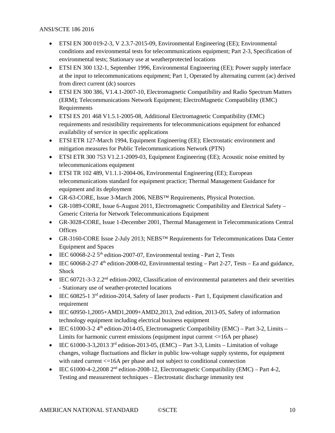- ETSI EN 300 019-2-3, V 2.3.7-2015-09, Environmental Engineering (EE); Environmental conditions and environmental tests for telecommunications equipment; Part 2-3, Specification of environmental tests; Stationary use at weatherprotected locations
- ETSI EN 300 132-1, September 1996, Environmental Engineering (EE); Power supply interface at the input to telecommunications equipment; Part 1, Operated by alternating current (ac) derived from direct current (dc) sources
- ETSI EN 300 386, V1.4.1-2007-10, Electromagnetic Compatibility and Radio Spectrum Matters (ERM); Telecommunications Network Equipment; ElectroMagnetic Compatibility (EMC) Requirements
- ETSI ES 201 468 V1.5.1-2005-08, Additional Electromagnetic Compatibility (EMC) requirements and resistibility requirements for telecommunications equipment for enhanced availability of service in specific applications
- ETSI ETR 127-March 1994, Equipment Engineering (EE); Electrostatic environment and mitigation measures for Public Telecommunications Network (PTN)
- ETSI ETR 300 753 V1.2.1-2009-03, Equipment Engineering (EE); Acoustic noise emitted by telecommunications equipment
- ETSI TR 102 489, V1.1.1-2004-06, Environmental Engineering (EE); European telecommunications standard for equipment practice; Thermal Management Guidance for equipment and its deployment
- <span id="page-9-1"></span>• GR-63-CORE, Issue 3-March 2006, NEBS™ Requirements, Physical Protection.
- GR-1089-CORE, Issue 6-August 2011, Electromagnetic Compatibility and Electrical Safety Generic Criteria for Network Telecommunications Equipment
- GR-3028-CORE, Issue 1-December 2001, Thermal Management in Telecommunications Central **Offices**
- <span id="page-9-0"></span>• GR-3160-CORE Issue 2-July 2013; NEBS<sup>TM</sup> Requirements for Telecommunications Data Center Equipment and Spaces
- IEC  $60068 2 25$ <sup>th</sup> edition-2007-07, Environmental testing Part 2, Tests
- IEC  $60068-2-27$  4<sup>th</sup> edition-2008-02, Environmental testing Part 2-27, Tests Ea and guidance, Shock
- IEC 60721-3-3 2.2<sup>nd</sup> edition-2002, Classification of environmental parameters and their severities - Stationary use of weather-protected locations
- IEC 60825-1 3<sup>rd</sup> edition-2014, Safety of laser products Part 1, Equipment classification and requirement
- IEC 60950-1,2005+AMD1,2009+AMD2,2013, 2nd edition, 2013-05, Safety of information technology equipment including electrical business equipment
- IEC 61000-3-2  $4<sup>th</sup>$  edition-2014-05, Electromagnetic Compatibility (EMC) Part 3-2, Limits Limits for harmonic current emissions (equipment input current <=16A per phase)
- IEC 61000-3-3,2013  $3<sup>rd</sup>$  edition-2013-05, (EMC) Part 3-3, Limits Limitation of voltage changes, voltage fluctuations and flicker in public low-voltage supply systems, for equipment with rated current  $\leq 16A$  per phase and not subject to conditional connection
- <span id="page-9-2"></span>• IEC 61000-4-2,2008  $2<sup>nd</sup>$  edition-2008-12, Electromagnetic Compatibility (EMC) – Part 4-2, Testing and measurement techniques – Electrostatic discharge immunity test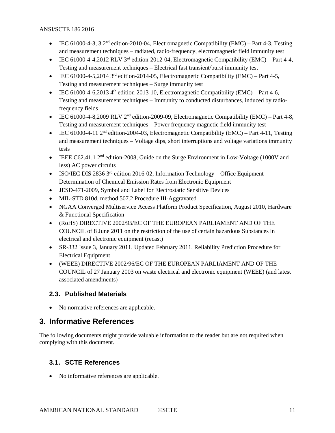- IEC 61000-4-3, 3.2<sup>nd</sup> edition-2010-04, Electromagnetic Compatibility (EMC) Part 4-3, Testing and measurement techniques – radiated, radio-frequency, electromagnetic field immunity test
- <span id="page-10-7"></span>• IEC 61000-4-4,2012 RLV 3<sup>rd</sup> edition-2012-04, Electromagnetic Compatibility (EMC) – Part 4-4, Testing and measurement techniques – Electrical fast transient/burst immunity test
- <span id="page-10-8"></span>• IEC 61000-4-5,2014 3<sup>rd</sup> edition-2014-05, Electromagnetic Compatibility (EMC) – Part 4-5, Testing and measurement techniques – Surge immunity test
- <span id="page-10-5"></span>• IEC 61000-4-6,2013 4<sup>th</sup> edition-2013-10, Electromagnetic Compatibility (EMC) – Part 4-6, Testing and measurement techniques – Immunity to conducted disturbances, induced by radiofrequency fields
- IEC 61000-4-8,2009 RLV  $2<sup>nd</sup>$  edition-2009-09, Electromagnetic Compatibility (EMC) Part 4-8, Testing and measurement techniques – Power frequency magnetic field immunity test
- IEC 61000-4-11  $2<sup>nd</sup>$  edition-2004-03, Electromagnetic Compatibility (EMC) Part 4-11, Testing and measurement techniques – Voltage dips, short interruptions and voltage variations immunity tests
- <span id="page-10-6"></span>• IEEE C62.41.1 2<sup>nd</sup> edition-2008, Guide on the Surge Environment in Low-Voltage (1000V and less) AC power circuits
- <span id="page-10-9"></span>• ISO/IEC DIS 2836 3<sup>rd</sup> edition 2016-02, Information Technology – Office Equipment – Determination of Chemical Emission Rates from Electronic Equipment
- JESD-471-2009, Symbol and Label for Electrostatic Sensitive Devices
- <span id="page-10-4"></span>• MIL-STD 810d, method 507.2 Procedure III-Aggravated
- NGAA Converged Multiservice Access Platform Product Specification, August 2010, Hardware & Functional Specification
- <span id="page-10-3"></span>• (RoHS) DIRECTIVE 2002/95/EC OF THE EUROPEAN PARLIAMENT AND OF THE COUNCIL of 8 June 2011 on the restriction of the use of certain hazardous Substances in electrical and electronic equipment (recast)
- <span id="page-10-10"></span>• SR-332 Issue 3, January 2011, Updated February 2011, Reliability Prediction Procedure for Electrical Equipment
- (WEEE) DIRECTIVE 2002/96/EC OF THE EUROPEAN PARLIAMENT AND OF THE COUNCIL of 27 January 2003 on waste electrical and electronic equipment (WEEE) (and latest associated amendments)

### <span id="page-10-0"></span>**2.3. Published Materials**

• No normative references are applicable.

## <span id="page-10-1"></span>**3. Informative References**

The following documents might provide valuable information to the reader but are not required when complying with this document.

## <span id="page-10-2"></span>**3.1. SCTE References**

• No informative references are applicable.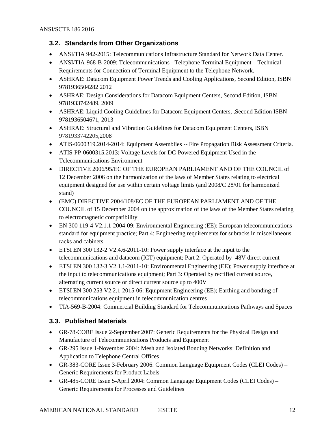#### <span id="page-11-0"></span>**3.2. Standards from Other Organizations**

- ANSI/TIA 942-2015: Telecommunications Infrastructure Standard for Network Data Center.
- ANSI/TIA-968-B-2009: Telecommunications Telephone Terminal Equipment Technical Requirements for Connection of Terminal Equipment to the Telephone Network.
- ASHRAE: Datacom Equipment Power Trends and Cooling Applications, Second Edition, ISBN 9781936504282 2012
- <span id="page-11-2"></span>• ASHRAE: Design Considerations for Datacom Equipment Centers, Second Edition, ISBN 9781933742489, 2009
- ASHRAE: Liquid Cooling Guidelines for Datacom Equipment Centers, ,Second Edition ISBN 9781936504671, 2013
- ASHRAE: Structural and Vibration Guidelines for Datacom Equipment Centers, ISBN 9781933742205,2008
- ATIS-0600319.2014-2014: Equipment Assemblies -- Fire Propagation Risk Assessment Criteria.
- ATIS-PP-0600315.2013: Voltage Levels for DC-Powered Equipment Used in the Telecommunications Environment
- DIRECTIVE 2006/95/EC OF THE EUROPEAN PARLIAMENT AND OF THE COUNCIL of 12 December 2006 on the harmonization of the laws of Member States relating to electrical equipment designed for use within certain voltage limits (and 2008/C 28/01 for harmonized stand)
- (EMC) DIRECTIVE 2004/108/EC OF THE EUROPEAN PARLIAMENT AND OF THE COUNCIL of 15 December 2004 on the approximation of the laws of the Member States relating to electromagnetic compatibility
- EN 300 119-4 V2.1.1-2004-09: Environmental Engineering (EE); European telecommunications standard for equipment practice; Part 4: Engineering requirements for subracks in miscellaneous racks and cabinets
- ETSI EN 300 132-2 V2.4.6-2011-10: Power supply interface at the input to the telecommunications and datacom (ICT) equipment; Part 2: Operated by -48V direct current
- ETSI EN 300 132-3 V2.1.1-2011-10: Environmental Engineering (EE); Power supply interface at the input to telecommunications equipment; Part 3: Operated by rectified current source, alternating current source or direct current source up to 400V
- ETSI EN 300 253 V2.2.1-2015-06: Equipment Engineering (EE); Earthing and bonding of telecommunications equipment in telecommunication centres
- TIA-569-B-2004: Commercial Building Standard for Telecommunications Pathways and Spaces

### <span id="page-11-1"></span>**3.3. Published Materials**

- GR-78-CORE Issue 2-September 2007: Generic Requirements for the Physical Design and Manufacture of Telecommunications Products and Equipment
- GR-295 Issue 1-November 2004: Mesh and Isolated Bonding Networks: Definition and Application to Telephone Central Offices
- GR-383-CORE Issue 3-February 2006: Common Language Equipment Codes (CLEI Codes) Generic Requirements for Product Labels
- GR-485-CORE Issue 5-April 2004: Common Language Equipment Codes (CLEI Codes) Generic Requirements for Processes and Guidelines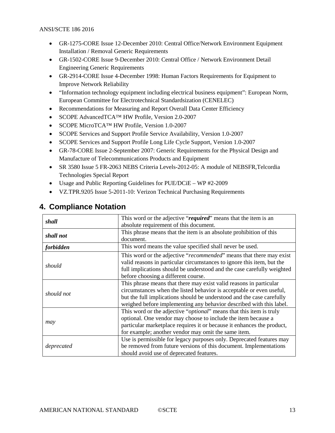- GR-1275-CORE Issue 12-December 2010: Central Office/Network Environment Equipment Installation / Removal Generic Requirements
- GR-1502-CORE Issue 9-December 2010: Central Office / Network Environment Detail Engineering Generic Requirements
- GR-2914-CORE Issue 4-December 1998: Human Factors Requirements for Equipment to Improve Network Reliability
- "Information technology equipment including electrical business equipment": European Norm, European Committee for Electrotechnical Standardsization (CENELEC)
- Recommendations for Measuring and Report Overall Data Center Efficiency
- SCOPE AdvancedTCA™ HW Profile, Version 2.0-2007
- SCOPE MicroTCA™ HW Profile, Version 1.0-2007
- SCOPE Services and Support Profile Service Availability, Version 1.0-2007
- SCOPE Services and Support Profile Long Life Cycle Support, Version 1.0-2007
- GR-78-CORE Issue 2-September 2007: Generic Requirements for the Physical Design and Manufacture of Telecommunications Products and Equipment
- SR 3580 Issue 5 FR-2063 NEBS Criteria Levels-2012-05: A module of NEBSFR,Telcordia Technologies Special Report
- Usage and Public Reporting Guidelines for PUE/DCiE WP #2-2009
- VZ.TPR.9205 Issue 5-2011-10: Verizon Technical Purchasing Requirements

|            | This word or the adjective "required" means that the item is an              |
|------------|------------------------------------------------------------------------------|
| shall      | absolute requirement of this document.                                       |
|            |                                                                              |
| shall not  | This phrase means that the item is an absolute prohibition of this           |
|            | document.                                                                    |
| forbidden  | This word means the value specified shall never be used.                     |
|            | This word or the adjective "recommended" means that there may exist          |
|            | valid reasons in particular circumstances to ignore this item, but the       |
| should     | full implications should be understood and the case carefully weighted       |
|            | before choosing a different course.                                          |
|            |                                                                              |
| should not | This phrase means that there may exist valid reasons in particular           |
|            | circumstances when the listed behavior is acceptable or even useful,         |
|            | but the full implications should be understood and the case carefully        |
|            | weighed before implementing any behavior described with this label.          |
|            | This word or the adjective " <i>optional</i> " means that this item is truly |
| may        | optional. One vendor may choose to include the item because a                |
|            | particular marketplace requires it or because it enhances the product,       |
|            | for example; another vendor may omit the same item.                          |
|            | Use is permissible for legacy purposes only. Deprecated features may         |
| deprecated | be removed from future versions of this document. Implementations            |
|            | should avoid use of deprecated features.                                     |

## <span id="page-12-0"></span>**4. Compliance Notation**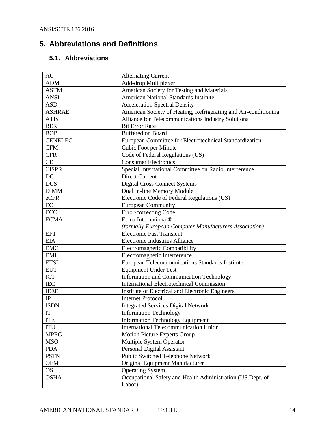## <span id="page-13-0"></span>**5. Abbreviations and Definitions**

## <span id="page-13-1"></span>**5.1. Abbreviations**

| AC             | <b>Alternating Current</b>                                      |  |  |
|----------------|-----------------------------------------------------------------|--|--|
| <b>ADM</b>     | Add-drop Multiplexer                                            |  |  |
| <b>ASTM</b>    | American Society for Testing and Materials                      |  |  |
| <b>ANSI</b>    | <b>American National Standards Institute</b>                    |  |  |
| <b>ASD</b>     | <b>Acceleration Spectral Density</b>                            |  |  |
| <b>ASHRAE</b>  | American Society of Heating, Refrigerating and Air-conditioning |  |  |
| <b>ATIS</b>    | Alliance for Telecommunications Industry Solutions              |  |  |
| <b>BER</b>     | <b>Bit Error Rate</b>                                           |  |  |
| <b>BOB</b>     | <b>Buffered on Board</b>                                        |  |  |
| <b>CENELEC</b> | European Committee for Electrotechnical Standardization         |  |  |
| <b>CFM</b>     | Cubic Foot per Minute                                           |  |  |
| <b>CFR</b>     | Code of Federal Regulations (US)                                |  |  |
| <b>CE</b>      | <b>Consumer Electronics</b>                                     |  |  |
| <b>CISPR</b>   | Special International Committee on Radio Interference           |  |  |
| DC             | <b>Direct Current</b>                                           |  |  |
| <b>DCS</b>     | <b>Digital Cross Connect Systems</b>                            |  |  |
| <b>DIMM</b>    | Dual In-line Memory Module                                      |  |  |
| eCFR           | Electronic Code of Federal Regulations (US)                     |  |  |
| EC             | <b>European Community</b>                                       |  |  |
| <b>ECC</b>     | Error-correcting Code                                           |  |  |
| <b>ECMA</b>    | Ecma International®                                             |  |  |
|                | (formally European Computer Manufacturers Association)          |  |  |
| <b>EFT</b>     | <b>Electronic Fast Transient</b>                                |  |  |
| <b>EIA</b>     | <b>Electronic Industries Alliance</b>                           |  |  |
| <b>EMC</b>     | <b>Electromagnetic Compatibility</b>                            |  |  |
| EMI            | Electromagnetic Interference                                    |  |  |
| <b>ETSI</b>    | European Telecommunications Standards Institute                 |  |  |
| <b>EUT</b>     | <b>Equipment Under Test</b>                                     |  |  |
| ICT            | Information and Communication Technology                        |  |  |
| <b>IEC</b>     | <b>International Electrotechnical Commission</b>                |  |  |
| <b>IEEE</b>    | Institute of Electrical and Electronic Engineers                |  |  |
| IP             | <b>Internet Protocol</b>                                        |  |  |
| <b>ISDN</b>    | <b>Integrated Services Digital Network</b>                      |  |  |
| IT             | <b>Information Technology</b>                                   |  |  |
| <b>ITE</b>     | <b>Information Technology Equipment</b>                         |  |  |
| <b>ITU</b>     | International Telecommunication Union                           |  |  |
| <b>MPEG</b>    | <b>Motion Picture Experts Group</b>                             |  |  |
| <b>MSO</b>     | Multiple System Operator                                        |  |  |
| <b>PDA</b>     | Personal Digital Assistant                                      |  |  |
| <b>PSTN</b>    | Public Switched Telephone Network                               |  |  |
| <b>OEM</b>     | Original Equipment Manufacturer                                 |  |  |
| <b>OS</b>      | <b>Operating System</b>                                         |  |  |
| <b>OSHA</b>    | Occupational Safety and Health Administration (US Dept. of      |  |  |
|                | Labor)                                                          |  |  |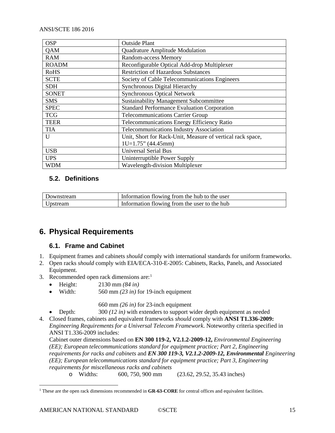| <b>OSP</b>   | <b>Outside Plant</b>                                       |  |
|--------------|------------------------------------------------------------|--|
| QAM          | Quadrature Amplitude Modulation                            |  |
| <b>RAM</b>   | <b>Random-access Memory</b>                                |  |
| <b>ROADM</b> | Reconfigurable Optical Add-drop Multiplexer                |  |
| <b>RoHS</b>  | <b>Restriction of Hazardous Substances</b>                 |  |
| <b>SCTE</b>  | Society of Cable Telecommunications Engineers              |  |
| <b>SDH</b>   | <b>Synchronous Digital Hierarchy</b>                       |  |
| <b>SONET</b> | <b>Synchronous Optical Network</b>                         |  |
| <b>SMS</b>   | <b>Sustainability Management Subcommittee</b>              |  |
| <b>SPEC</b>  | <b>Standard Performance Evaluation Corporation</b>         |  |
| <b>TCG</b>   | <b>Telecommunications Carrier Group</b>                    |  |
| <b>TEER</b>  | Telecommunications Energy Efficiency Ratio                 |  |
| <b>TIA</b>   | Telecommunications Industry Association                    |  |
| U            | Unit, Short for Rack-Unit, Measure of vertical rack space, |  |
|              | $1U=1.75$ " (44.45mm)                                      |  |
| <b>USB</b>   | <b>Universal Serial Bus</b>                                |  |
| <b>UPS</b>   | Uninterruptible Power Supply                               |  |
| <b>WDM</b>   | Wavelength-division Multiplexer                            |  |

## <span id="page-14-0"></span>**5.2. Definitions**

| Downstream | Information flowing from the hub to the user |
|------------|----------------------------------------------|
| Upstream   | Information flowing from the user to the hub |

## <span id="page-14-2"></span><span id="page-14-1"></span>**6. Physical Requirements**

#### **6.1. Frame and Cabinet**

- 1. Equipment frames and cabinets *should* comply with international standards for uniform frameworks.
- 2. Open racks *should* comply with EIA/ECA-310-E-2005: Cabinets, Racks, Panels, and Associated Equipment.
- 3. Recommended open rack dimensions are: $<sup>1</sup>$  $<sup>1</sup>$  $<sup>1</sup>$ </sup>
	- Height: 2130 mm *(84 in)*
	- Width:  $560 \text{ mm} (23 \text{ in})$  for 19-inch equipment

660 mm *(26 in)* for 23-inch equipment

• Depth: 300 *(12 in)* with extenders to support wider depth equipment as needed

4. Closed frames, cabinets and equivalent frameworks *should* comply with **ANSI T1.336-2009:** *Engineering Requirements for a Universal Telecom Framework*. Noteworthy criteria specified in ANSI T1.336-2009 includes:

Cabinet outer dimensions based on **[EN 300 119-2, V2.1.2-2009-12,](#page-8-0)** *Environmental Engineering [\(EE\); European telecommunications standard for equipment practice; Part 2, Engineering](#page-8-0)  [requirements for racks and cabinets](#page-8-0)* and *[EN 300 119-3, V2.1.2-2009-12, Environmental](#page-8-1) Engineering [\(EE\); European telecommunications standard for equipment practice; Part 3, Engineering](#page-8-1)  [requirements for miscellaneous racks and cabinets](#page-8-1)*

o Widths: 600, 750, 900 mm (23.62, 29.52, 35.43 inches)

<span id="page-14-3"></span><sup>&</sup>lt;sup>1</sup> These are the open rack dimensions recommended in **GR-63-CORE** for central offices and equivalent facilities.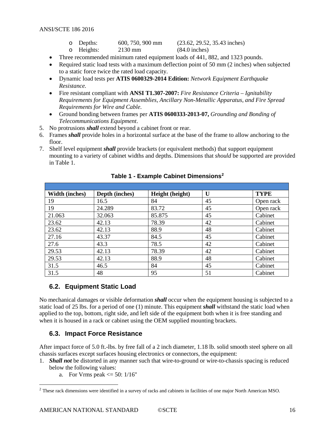- o Depths: 600, 750, 900 mm (23.62, 29.52, 35.43 inches)<br>
o Heights: 2130 mm (84.0 inches)
- $O$  Heights:
- Three recommended minimum rated equipment loads of 441, 882, and 1323 pounds.
- Required static load tests with a maximum deflection point of 50 mm (2 inches) when subjected to a static force twice the rated load capacity.
- Dynamic load tests per **ATIS 0600329-2014 Edition:** *Network Equipment Earthquake Resistance.*
- Fire resistant compliant with **ANSI T1.307-2007:** *Fire Resistance Criteria – Ignitability Requirements for Equipment Assemblies, Ancillary Non-Metallic Apparatus, and Fire Spread Requirements for Wire and Cable.*
- Ground bonding between frames per **ATIS 0600333-2013-07,** *[Grounding and Bonding of](#page-7-0)  [Telecommunications Equipment](#page-7-0)*.
- 5. No protrusions *shall* extend beyond a cabinet front or rear.
- 6. Frames *shall* provide holes in a horizontal surface at the base of the frame to allow anchoring to the floor.
- <span id="page-15-2"></span>7. Shelf level equipment *shall* provide brackets (or equivalent methods) that support equipment mounting to a variety of cabinet widths and depths. Dimensions that *should* be supported are provided in [Table 1.](#page-15-2)

| <b>Width (inches)</b> | Depth (inches) | Height (height) | $\mathbf{U}$ | <b>TYPE</b> |
|-----------------------|----------------|-----------------|--------------|-------------|
| 19                    | 16.5           | 84              | 45           | Open rack   |
| 19                    | 24.289         | 83.72           | 45           | Open rack   |
| 21.063                | 32.063         | 85.875          | 45           | Cabinet     |
| 23.62                 | 42.13          | 78.39           | 42           | Cabinet     |
| 23.62                 | 42.13          | 88.9            | 48           | Cabinet     |
| 27.16                 | 43.37          | 84.5            | 45           | Cabinet     |
| 27.6                  | 43.3           | 78.5            | 42           | Cabinet     |
| 29.53                 | 42.13          | 78.39           | 42           | Cabinet     |
| 29.53                 | 42.13          | 88.9            | 48           | Cabinet     |
| 31.5                  | 46.5           | 84              | 45           | Cabinet     |
| 31.5                  | 48             | 95              | 51           | Cabinet     |

**Table 1 - Example Cabinet Dimensions[2](#page-15-3)**

#### <span id="page-15-0"></span>**6.2. Equipment Static Load**

No mechanical damages or visible deformation *shall* occur when the equipment housing is subjected to a static load of 25 lbs. for a period of one (1) minute. This equipment *shall* withstand the static load when applied to the top, bottom, right side, and left side of the equipment both when it is free standing and when it is housed in a rack or cabinet using the OEM supplied mounting brackets.

### <span id="page-15-1"></span>**6.3. Impact Force Resistance**

After impact force of 5.0 ft.-lbs. by free fall of a 2 inch diameter, 1.18 lb. solid smooth steel sphere on all chassis surfaces except surfaces housing electronics or connectors, the equipment:

- 1. *Shall not* be distorted in any manner such that wire-to-ground or wire-to-chassis spacing is reduced below the following values:
	- a. For Vrms peak  $\leq$  50: 1/16"

<span id="page-15-3"></span><sup>&</sup>lt;sup>2</sup> These rack dimensions were identified in a survey of racks and cabinets in facilities of one major North American MSO.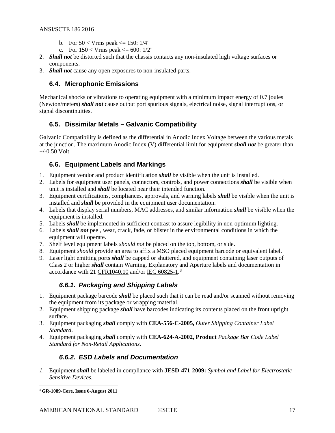- b. For  $50 < Vrms$  peak  $\leq 150$ :  $1/4"$
- c. For  $150 < V$ rms peak  $\leq 600$ :  $1/2$ "
- 2. *Shall not* be distorted such that the chassis contacts any non-insulated high voltage surfaces or components.
- <span id="page-16-0"></span>3. *Shall not* cause any open exposures to non-insulated parts.

#### **6.4. Microphonic Emissions**

Mechanical shocks or vibrations to operating equipment with a minimum impact energy of 0.7 joules (Newton/meters) *shall not* cause output port spurious signals, electrical noise, signal interruptions, or signal discontinuities.

### <span id="page-16-1"></span>**6.5. Dissimilar Metals – Galvanic Compatibility**

Galvanic Compatibility is defined as the differential in Anodic Index Voltage between the various metals at the junction. The maximum Anodic Index (V) differential limit for equipment *shall not* be greater than  $+/-0.50$  Volt.

#### <span id="page-16-2"></span>**6.6. Equipment Labels and Markings**

- 1. Equipment vendor and product identification *shall* be visible when the unit is installed.
- 2. Labels for equipment user panels, connectors, controls, and power connections *shall* be visible when unit is installed and *shall* be located near their intended function.
- 3. Equipment certifications, compliances, approvals, and warning labels *shall* be visible when the unit is installed and *shall* be provided in the equipment user documentation.
- 4. Labels that display serial numbers, MAC addresses, and similar information *shall* be visible when the equipment is installed.
- 5. Labels *shall* be implemented in sufficient contrast to assure legibility in non-optimum lighting.
- 6. Labels *shall not* peel, wear, crack, fade, or blister in the environmental conditions in which the equipment will operate.
- 7. Shelf level equipment labels *should not* be placed on the top, bottom, or side.
- 8. Equipment *should* provide an area to affix a MSO placed equipment barcode or equivalent label.
- 9. Laser light emitting ports *shall* be capped or shuttered, and equipment containing laser outputs of Class 2 or higher *shall* contain Warning, Explanatory and Aperture labels and documentation in accordance with 21 [CFR1040.10](#page-7-1) and/or IEC 60825-1.<sup>[3](#page-16-5)</sup>

### *6.6.1. Packaging and Shipping Labels*

- <span id="page-16-3"></span>1. Equipment package barcode *shall* be placed such that it can be read and/or scanned without removing the equipment from its package or wrapping material.
- 2. Equipment shipping package *shall* have barcodes indicating its contents placed on the front upright surface.
- 3. Equipment packaging *shall* comply with **CEA-556-C-2005,** *[Outer Shipping Container Label](#page-7-2)  [Standard](#page-7-2)*.
- <span id="page-16-4"></span>4. Equipment packaging *shall* comply with **[CEA-624-A-2002, Product](#page-7-3)** *Package Bar Code Label [Standard for Non-Retail Applications](#page-7-3)*.

### *6.6.2. ESD Labels and Documentation*

*1.* Equipment *shall* be labeled in compliance with **JESD-471-2009:** *Symbol and Label for Electrostatic Sensitive Devices.*

<span id="page-16-5"></span> <sup>3</sup> **GR-1089-Core, Issue 6-August 2011**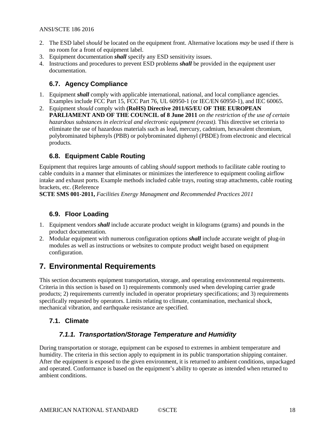- 2. The ESD label *should* be located on the equipment front. Alternative locations *may* be used if there is no room for a front of equipment label.
- 3. Equipment documentation *shall* specify any ESD sensitivity issues.
- 4. Instructions and procedures to prevent ESD problems *shall* be provided in the equipment user documentation.

#### <span id="page-17-0"></span>**6.7. Agency Compliance**

- 1. Equipment *shall* comply with applicable international, national, and local compliance agencies. Examples include FCC Part 15, FCC Part 76, UL 60950-1 (or IEC/EN 60950-1), and IEC 60065.
- 2. Equipment *should* comply with **[\(RoHS\) Directive 2011/65/EU OF THE EUROPEAN](#page-10-3)  [PARLIAMENT AND OF THE COUNCIL of 8 June 2011](#page-10-3)** *on the restriction of the use of certain [hazardous substances in electrical and electronic equipment \(recast\).](#page-10-3)* This directive set criteria to eliminate the use of hazardous materials such as lead, mercury, cadmium, hexavalent chromium, polybrominated biphenyls (PBB) or polybrominated diphenyl (PBDE) from electronic and electrical products.

#### <span id="page-17-1"></span>**6.8. Equipment Cable Routing**

Equipment that requires large amounts of cabling *should* support methods to facilitate cable routing to cable conduits in a manner that eliminates or minimizes the interference to equipment cooling airflow intake and exhaust ports. Example methods included cable trays, routing strap attachments, cable routing brackets, etc. (Reference

**SCTE SMS 001-2011,** *[Facilities Energy Managment and Recommended Practices 2011](#page-6-2)*

## <span id="page-17-2"></span>**6.9. Floor Loading**

- 1. Equipment vendors *shall* include accurate product weight in kilograms (grams) and pounds in the product documentation.
- 2. Modular equipment with numerous configuration options *shall* include accurate weight of plug-in modules as well as instructions or websites to compute product weight based on equipment configuration.

## <span id="page-17-3"></span>**7. Environmental Requirements**

This section documents equipment transportation, storage, and operating environmental requirements. Criteria in this section is based on 1) requirements commonly used when developing carrier grade products; 2) requirements currently included in operator proprietary specifications; and 3) requirements specifically requested by operators. Limits relating to climate, contamination, mechanical shock, mechanical vibration, and earthquake resistance are specified.

#### <span id="page-17-5"></span><span id="page-17-4"></span>**7.1. Climate**

#### *7.1.1. Transportation/Storage Temperature and Humidity*

During transportation or storage, equipment can be exposed to extremes in ambient temperature and humidity. The criteria in this section apply to equipment in its public transportation shipping container. After the equipment is exposed to the given environment, it is returned to ambient conditions, unpackaged and operated. Conformance is based on the equipment's ability to operate as intended when returned to ambient conditions.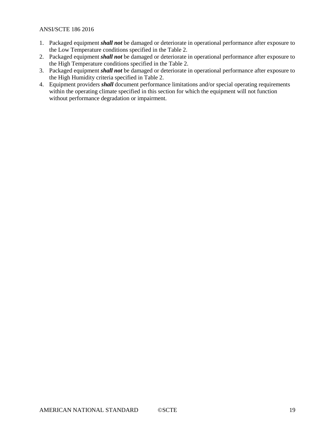- 1. Packaged equipment *shall not* be damaged or deteriorate in operational performance after exposure to the Low Temperature conditions specified in the [Table 2.](#page-19-0)
- 2. Packaged equipment *shall not* be damaged or deteriorate in operational performance after exposure to the High Temperature conditions specified in the [Table 2.](#page-19-0)
- 3. Packaged equipment *shall not* be damaged or deteriorate in operational performance after exposure to the High Humidity criteria specified in [Table 2.](#page-19-0)
- 4. Equipment providers *shall* document performance limitations and/or special operating requirements within the operating climate specified in this section for which the equipment will not function without performance degradation or impairment.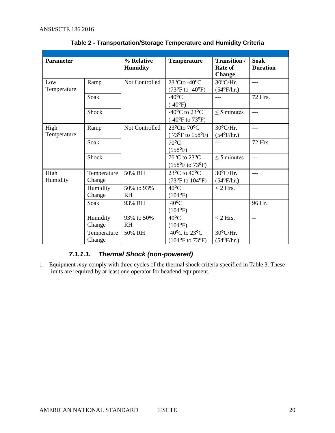<span id="page-19-0"></span>

| <b>Parameter</b> |             | % Relative<br><b>Humidity</b> | <b>Temperature</b>                       | <b>Transition /</b><br>Rate of<br><b>Change</b> | <b>Soak</b><br><b>Duration</b> |
|------------------|-------------|-------------------------------|------------------------------------------|-------------------------------------------------|--------------------------------|
| Low              | Ramp        | Not Controlled                | $23^{\circ}$ Cto -40 $^{\circ}$ C        | $30^{\circ}$ C/Hr.                              | $---$                          |
| Temperature      |             |                               | $(73^{\circ}F \text{ to } -40^{\circ}F)$ | $(54^{\circ}F/hr.)$                             |                                |
|                  | Soak        |                               | $-40$ <sup>o</sup> C                     | $\overline{a}$                                  | 72 Hrs.                        |
|                  |             |                               | $(-40^{\circ}F)$                         |                                                 |                                |
|                  | Shock       |                               | -40 $^{\circ}$ C to 23 $^{\circ}$ C      | $\leq$ 5 minutes                                | $\overline{a}$                 |
|                  |             |                               | $(-40^{\circ}$ F to 73°F)                |                                                 |                                |
| High             | Ramp        | Not Controlled                | 23°Cto 70°C                              | 30°C/Hr.                                        | $---$                          |
| Temperature      |             |                               | $(73^{\circ}F \text{ to } 158^{\circ}F)$ | $(54^{\circ}F/hr.)$                             |                                |
|                  | Soak        |                               | $70^{\circ}$ C                           | $---$                                           | 72 Hrs.                        |
|                  |             |                               | $(158^{\circ}F)$                         |                                                 |                                |
|                  | Shock       |                               | 70°C to 23°C                             | $\leq$ 5 minutes                                | ---                            |
|                  |             |                               | $(158^{\circ}F \text{ to } 73^{\circ}F)$ |                                                 |                                |
| High             | Temperature | 50% RH                        | $23^{\circ}$ C to $40^{\circ}$ C         | $30^{\circ}$ C/Hr.                              | $---$                          |
| Humidity         | Change      |                               | $(73^{\circ}F \text{ to } 104^{\circ}F)$ | $(54^{\circ}F/hr.)$                             |                                |
|                  | Humidity    | 50% to 93%                    | $40^{\circ}$ C                           | $<$ 2 Hrs.                                      |                                |
|                  | Change      | <b>RH</b>                     | $(104^{\circ}F)$                         |                                                 |                                |
|                  | Soak        | 93% RH                        | $40^{\circ}$ C                           |                                                 | 96 Hr.                         |
|                  |             |                               | $(104^{\circ}F)$                         |                                                 |                                |
|                  | Humidity    | 93% to 50%                    | $40^{\circ}$ C                           | $<$ 2 Hrs.                                      | $-$                            |
|                  | Change      | <b>RH</b>                     | $(104^{\circ}F)$                         |                                                 |                                |
|                  | Temperature | 50% RH                        | $40^{\circ}$ C to 23 $^{\circ}$ C        | $30^{\circ}$ C/Hr.                              |                                |
|                  | Change      |                               | $(104^{\circ}F \text{ to } 73^{\circ}F)$ | $(54^{\circ}F/hr.)$                             |                                |

**Table 2 - Transportation/Storage Temperature and Humidity Criteria**

## *7.1.1.1. Thermal Shock (non-powered)*

1. Equipment *may* comply with three cycles of the thermal shock criteria specified i[n Table 3.](#page-20-0) These limits are required by at least one operator for headend equipment.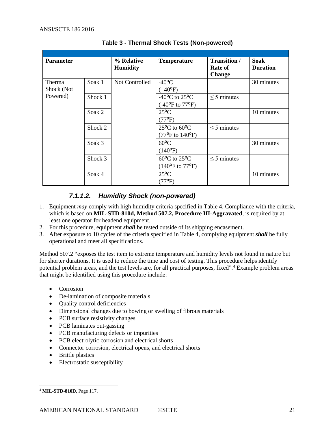<span id="page-20-0"></span>

| <b>Parameter</b>             |         | % Relative<br><b>Humidity</b> | <b>Temperature</b>                                                            | <b>Transition</b> /<br>Rate of<br><b>Change</b> | <b>Soak</b><br><b>Duration</b> |
|------------------------------|---------|-------------------------------|-------------------------------------------------------------------------------|-------------------------------------------------|--------------------------------|
| <b>Thermal</b><br>Shock (Not | Soak 1  | Not Controlled                | $-40$ <sup>o</sup> C<br>$(.40^{\circ}F)$                                      |                                                 | 30 minutes                     |
| Powered)                     | Shock 1 |                               | -40 $^{\circ}$ C to 25 $^{\circ}$ C<br>$(-40^{\circ}$ F to 77°F)              | $\leq$ 5 minutes                                |                                |
|                              | Soak 2  |                               | $25^{\circ}$ C<br>$(77^{\circ}F)$                                             |                                                 | 10 minutes                     |
|                              | Shock 2 |                               | $25^{\circ}$ C to 60 $^{\circ}$ C<br>$(77^{\circ}F \text{ to } 140^{\circ}F)$ | $\leq$ 5 minutes                                |                                |
|                              | Soak 3  |                               | $60^{\circ}$ C<br>$(140^{\circ}F)$                                            |                                                 | 30 minutes                     |
|                              | Shock 3 |                               | $60^{\circ}$ C to $25^{\circ}$ C<br>$(140^{\circ}F \text{ to } 77^{\circ}F)$  | $\leq$ 5 minutes                                |                                |
|                              | Soak 4  |                               | $25^{\circ}$ C<br>$(77^{\circ}F)$                                             |                                                 | 10 minutes                     |

**Table 3 - Thermal Shock Tests (Non-powered)**

## *7.1.1.2. Humidity Shock (non-powered)*

- 1. Equipment *may* comply with high humidity criteria specified in [Table 4.](#page-21-2) Compliance with the criteria, which is based on **[MIL-STD-810d, Method 507.2, Procedure III-Aggravated](#page-10-4)**, is required by at least one operator for headend equipment.
- 2. For this procedure, equipment *shall* be tested outside of its shipping encasement.
- 3. After exposure to 10 cycles of the criteria specified in [Table 4,](#page-21-2) complying equipment *shall* be fully operational and meet all specifications.

Method 507.2 "exposes the test item to extreme temperature and humidity levels not found in nature but for shorter durations. It is used to reduce the time and cost of testing. This procedure helps identify potential problem areas, and the test levels are, for all practical purposes, fixed". [4](#page-20-1) Example problem areas that might be identified using this procedure include:

- **Corrosion**
- De-lamination of composite materials
- Quality control deficiencies
- Dimensional changes due to bowing or swelling of fibrous materials
- PCB surface resistivity changes
- PCB laminates out-gassing
- PCB manufacturing defects or impurities
- PCB electrolytic corrosion and electrical shorts
- Connector corrosion, electrical opens, and electrical shorts
- Brittle plastics
- Electrostatic susceptibility

<span id="page-20-1"></span> <sup>4</sup> **MIL-STD-810D**, Page 117.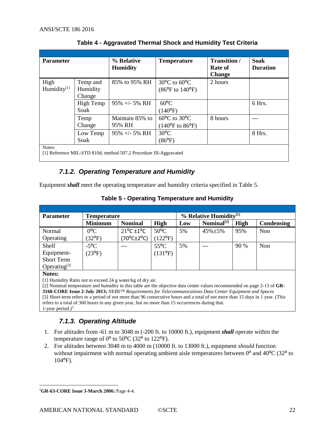<span id="page-21-2"></span>

| <b>Parameter</b>                |                                | % Relative<br><b>Humidity</b>                                     | <b>Temperature</b>                                                            | <b>Transition</b> /<br>Rate of<br><b>Change</b> | <b>Soak</b><br><b>Duration</b> |
|---------------------------------|--------------------------------|-------------------------------------------------------------------|-------------------------------------------------------------------------------|-------------------------------------------------|--------------------------------|
| High<br>Humidity <sup>[1]</sup> | Temp and<br>Humidity<br>Change | 85% to 95% RH                                                     | $30^{\circ}$ C to 60 $^{\circ}$ C<br>$(86^{\circ}F \text{ to } 140^{\circ}F)$ | 2 hours                                         |                                |
|                                 | High Temp<br>Soak              | $95\% +/- 5\%$ RH                                                 | $60^{\circ}$ C<br>$(140^{\circ}F)$                                            |                                                 | 6 Hrs.                         |
|                                 | Temp<br>Change                 | Maintain 85% to<br>95% RH                                         | $60^{\circ}$ C to 30 $^{\circ}$ C<br>$(140^{\circ}F \text{ to } 86^{\circ}F)$ | 8 hours                                         |                                |
|                                 | Low Temp<br>Soak               | $95\% +/- 5\% RH$                                                 | $30^{\circ}$ C<br>$(86^{\circ}F)$                                             |                                                 | 8 Hrs.                         |
| Notes:                          |                                | [1] Reference MIL-STD 810d, method 507.2 Procedure III-Aggravated |                                                                               |                                                 |                                |

**Table 4 - Aggravated Thermal Shock and Humidity Test Criteria**

## *7.1.2. Operating Temperature and Humidity*

<span id="page-21-3"></span><span id="page-21-0"></span>Equipment *shall* meet the operating temperature and humidity criteria specified in [Table 5.](#page-21-3)

| <b>Parameter</b>  | <b>Temperature</b> |                                  |                  | $%$ Relative Humidity <sup>[1]</sup> |                 |      |            |
|-------------------|--------------------|----------------------------------|------------------|--------------------------------------|-----------------|------|------------|
|                   | <b>Minimum</b>     | <b>Nominal</b>                   | High             | Low                                  | $Nominal^{[2]}$ | High | Condensing |
| Normal            | $0^{\circ}C$       | $21^{\circ}$ C $\pm 1^{\circ}$ C | $50^{\circ}$ C   | 5%                                   | $45\% \pm 5\%$  | 95%  | Non        |
| Operating         | $(32^{\circ}F)$    | $(70^{\circ}$ C $\pm$ 2°C)       | $(122^{\circ}F)$ |                                      |                 |      |            |
| Shelf             | $-5^{\circ}$ C     |                                  | $55^{\circ}$ C   | 5%                                   | ---             | 90 % | Non        |
| Equipment-        | $(23^{\circ}F)$    |                                  | $(131^{\circ}F)$ |                                      |                 |      |            |
| <b>Short Term</b> |                    |                                  |                  |                                      |                 |      |            |
| Operating $[3]$   |                    |                                  |                  |                                      |                 |      |            |

#### **Notes:**

[1] Humidity Ratio not to exceed 24 g water/kg of dry air.

[2] Nominal temperature and humidity in this table are the objective data center values recommended on page 2-13 of **[GR-](#page-9-0)3160-CORE Issue 2-July 2013;** *[NEBS™ Requirements for Telecommunications Data Center Equipment and Spaces](#page-9-0)* [3] Short-term refers to a period of not more than 96 consecutive hours and a total of not more than 15 days in 1 year. (This refers to a total of 360 hours in any given year, but no more than 15 occurrences during that. 1-year period.) $5$ 

## *7.1.3. Operating Altitude*

- <span id="page-21-1"></span>1. For altitudes from -61 m to 3048 m (-200 ft. to 10000 ft.), equipment *shall* operate within the temperature range of  $0^{\circ}$  to 50 $^{\circ}$ C (32 $^{\circ}$  to 122 $^{\circ}$ F).
- 2. For altitudes between 3048 m to 4000 m (10000 ft. to 13000 ft.), equipment *should* function without impairment with normal operating ambient aisle temperatures between  $0^{\circ}$  and  $40^{\circ}$ C (32 $^{\circ}$  to  $104^{\circ}$ F).

<span id="page-21-4"></span> <sup>5</sup>**[GR-63-CORE Issue 3-March 2006:](#page-9-1)** Page 4-4.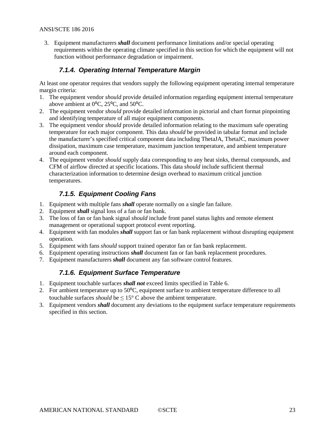3. Equipment manufacturers *shall* document performance limitations and/or special operating requirements within the operating climate specified in this section for which the equipment will not function without performance degradation or impairment.

#### *7.1.4. Operating Internal Temperature Margin*

<span id="page-22-0"></span>At least one operator requires that vendors supply the following equipment operating internal temperature margin criteria:

- 1. The equipment vendor *should* provide detailed information regarding equipment internal temperature above ambient at  $0^{\circ}$ C,  $25^{\circ}$ C, and  $50^{\circ}$ C.
- 2. The equipment vendor *should* provide detailed information in pictorial and chart format pinpointing and identifying temperature of all major equipment components.
- 3. The equipment vendor *should* provide detailed information relating to the maximum safe operating temperature for each major component. This data *should* be provided in tabular format and include the manufacturer's specified critical component data including ThetaJA, ThetaJC, maximum power dissipation, maximum case temperature, maximum junction temperature, and ambient temperature around each component.
- 4. The equipment vendor *should* supply data corresponding to any heat sinks, thermal compounds, and CFM of airflow directed at specific locations. This data *should* include sufficient thermal characterization information to determine design overhead to maximum critical junction temperatures.

### *7.1.5. Equipment Cooling Fans*

- <span id="page-22-1"></span>1. Equipment with multiple fans *shall* operate normally on a single fan failure.
- 2. Equipment *shall* signal loss of a fan or fan bank.
- 3. The loss of fan or fan bank signal *should* include front panel status lights and remote element management or operational support protocol event reporting.
- 4. Equipment with fan modules *shall* support fan or fan bank replacement without disrupting equipment operation.
- 5. Equipment with fans *should* support trained operator fan or fan bank replacement.
- 6. Equipment operating instructions *shall* document fan or fan bank replacement procedures.
- <span id="page-22-2"></span>7. Equipment manufacturers *shall* document any fan software control features.

#### *7.1.6. Equipment Surface Temperature*

- 1. Equipment touchable surfaces *shall not* exceed limits specified in [Table 6.](#page-23-2)
- 2. For ambient temperature up to 50<sup>o</sup>C, equipment surface to ambient temperature difference to all touchable surfaces *should* be  $\leq 15^{\circ}$  C above the ambient temperature.
- 3. Equipment vendors *shall* document any deviations to the equipment surface temperature requirements specified in this section.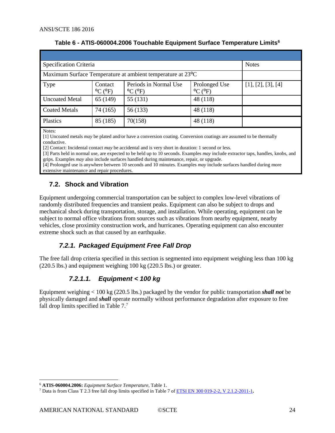<span id="page-23-2"></span>

| Specification Criteria                                                  |                                         | <b>Notes</b>                                          |                                               |                    |
|-------------------------------------------------------------------------|-----------------------------------------|-------------------------------------------------------|-----------------------------------------------|--------------------|
| Maximum Surface Temperature at ambient temperature at 23 <sup>o</sup> C |                                         |                                                       |                                               |                    |
| Type                                                                    | Contact<br>$^{\circ}$ C ( $^{\circ}$ F) | Periods in Normal Use<br>$^{\circ}$ C ( $^{\circ}$ F) | Prolonged Use<br>$^{\circ}$ C ( $^{\circ}$ F) | [1], [2], [3], [4] |
| <b>Uncoated Metal</b>                                                   | 65 (149)                                | 55 (131)                                              | 48 (118)                                      |                    |
| <b>Coated Metals</b>                                                    | 74 (165)                                | 56 (133)                                              | 48 (118)                                      |                    |
| Plastics                                                                | 85 (185)                                | 70(158)                                               | 48 (118)                                      |                    |

#### **Table 6 - ATIS-060004.2006 Touchable Equipment Surface Temperature Limits[6](#page-23-3)**

Notes:

[1] Uncoated metals *may* be plated and/or have a conversion coating. Conversion coatings are assumed to be thermally conductive.

[2] Contact: Incidental contact *may* be accidental and is very short in duration: 1 second or less.

[3] Parts held in normal use, are expected to be held up to 10 seconds. Examples *may* include extractor taps, handles, knobs, and grips. Examples *may* also include surfaces handled during maintenance, repair, or upgrade.

[4] Prolonged use is anywhere between 10 seconds and 10 minutes. Examples *may* include surfaces handled during more extensive maintenance and repair procedures.

## <span id="page-23-0"></span>**7.2. Shock and Vibration**

Equipment undergoing commercial transportation can be subject to complex low-level vibrations of randomly distributed frequencies and transient peaks. Equipment can also be subject to drops and mechanical shock during transportation, storage, and installation. While operating, equipment can be subject to normal office vibrations from sources such as vibrations from nearby equipment, nearby vehicles, close proximity construction work, and hurricanes. Operating equipment can also encounter extreme shock such as that caused by an earthquake.

## *7.2.1. Packaged Equipment Free Fall Drop*

<span id="page-23-1"></span>The free fall drop criteria specified in this section is segmented into equipment weighing less than 100 kg (220.5 lbs.) and equipment weighing 100 kg (220.5 lbs.) or greater.

## *7.2.1.1. Equipment < 100 kg*

Equipment weighing < 100 kg (220.5 lbs.) packaged by the vendor for public transportation *shall not* be physically damaged and *shall* operate normally without performance degradation after exposure to free fall drop limits specified in [Table 7.](#page-24-2)[7](#page-23-4)

<span id="page-23-3"></span> <sup>6</sup> **ATIS-060004.2006:** *Equipment Surface Temperature*, Table 1.

<span id="page-23-4"></span><sup>7</sup> Data is from Class T 2.3 free fall drop limits specified in Table 7 o[f ETSI EN 300 019-2-2, V](#page-8-2) 2.1.2-2011-1**.**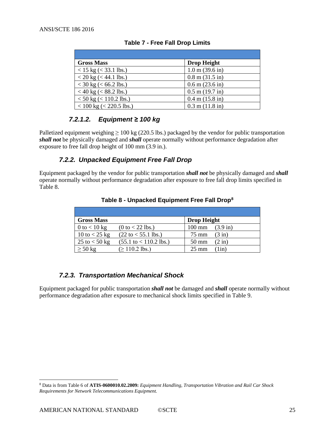<span id="page-24-2"></span>

| <b>Gross Mass</b>            | <b>Drop Height</b>                |
|------------------------------|-----------------------------------|
| $<$ 15 kg ( $<$ 33.1 lbs.)   | $1.0 \text{ m} (39.6 \text{ in})$ |
| $<$ 20 kg ( $<$ 44.1 lbs.)   | $0.8 \text{ m} (31.5 \text{ in})$ |
| $<$ 30 kg ( $<$ 66.2 lbs.)   | $0.6$ m $(23.6)$ in               |
| $<$ 40 kg ( $<$ 88.2 lbs.)   | $0.5$ m $(19.7)$ in               |
| $<$ 50 kg ( $<$ 110.2 lbs.)  | $0.4 \text{ m}$ (15.8 in)         |
| $<$ 100 kg ( $<$ 220.5 lbs.) | $0.3$ m $(11.8$ in)               |

|  |  |  |  |  | <b>Table 7 - Free Fall Drop Limits</b> |
|--|--|--|--|--|----------------------------------------|
|--|--|--|--|--|----------------------------------------|

### *7.2.1.2. Equipment ≥ 100 kg*

Palletized equipment weighing  $\geq 100$  kg (220.5 lbs.) packaged by the vendor for public transportation *shall not* be physically damaged and *shall* operate normally without performance degradation after exposure to free fall drop height of 100 mm (3.9 in.).

### *7.2.2. Unpacked Equipment Free Fall Drop*

<span id="page-24-3"></span><span id="page-24-0"></span>Equipment packaged by the vendor for public transportation *shall not* be physically damaged and *shall* operate normally without performance degradation after exposure to free fall drop limits specified in [Table 8.](#page-24-3)

| <b>Gross Mass</b> |                                          | <b>Drop Height</b> |                    |
|-------------------|------------------------------------------|--------------------|--------------------|
| 0 to $< 10$ kg    | $(0 to < 22$ lbs.)                       | $100 \text{ mm}$   | $(3.9 \text{ in})$ |
| 10 to $<$ 25 kg   | $(22 \text{ to} < 55.1 \text{ lbs.})$    | 75 mm              | $(3 \text{ in})$   |
| 25 to $<$ 50 kg   | $(55.1 \text{ to} < 110.2 \text{ lbs.})$ | $50 \text{ mm}$    | $(2 \text{ in})$   |
| $\geq 50$ kg      | $( \geq 110.2$ lbs.)                     | $25 \text{ mm}$    | $1$ in)            |

**Table 8 - Unpacked Equipment Free Fall Drop[8](#page-24-4)**

### *7.2.3. Transportation Mechanical Shock*

<span id="page-24-1"></span>Equipment packaged for public transportation *shall not* be damaged and *shall* operate normally without performance degradation after exposure to mechanical shock limits specified in [Table 9.](#page-25-3)

<span id="page-24-4"></span> <sup>8</sup> Data is from Table 6 of **ATIS-0600010.02.2009:** *Equipment Handling, Transportation Vibration and Rail Car Shock Requirements for Network Telecommunications Equipment.*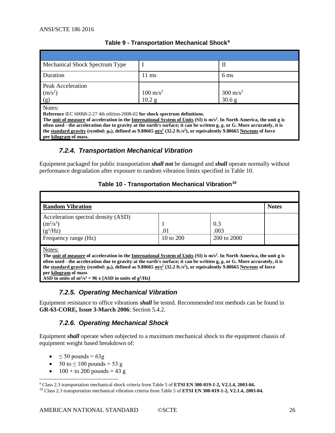<span id="page-25-3"></span>

| Mechanical Shock Spectrum Type |                     | п                   |
|--------------------------------|---------------------|---------------------|
| Duration                       | $11 \text{ ms}$     | $6 \text{ ms}$      |
| Peak Acceleration              |                     |                     |
| (m/s <sup>2</sup> )            | $100 \text{ m/s}^2$ | $300 \text{ m/s}^2$ |
| (g)                            | $10.2$ g            | 30.6 g              |
| Notes:                         |                     |                     |

#### **Table 9 - Transportation Mechanical Shock[9](#page-25-5)**

Notes:

**Reference** IEC 60068-2-27 4th edition-2008-02 **for shock spectrum definitions.**

**The [unit of measure](http://en.wikipedia.org/wiki/Unit_of_measure) of acceleration in the [International System of Units](http://en.wikipedia.org/wiki/International_System_of_Units) (SI) is m/s2. In North America, the unit g is often used - the acceleration due to gravity at the earth's surface; it can be written g,** *g***, or G. More accurately, it is the [standard gravity](http://en.wikipedia.org/wiki/Standard_gravity)** (symbol:  $g_n$ ), defined as 9.80665  $m/s^2$  (32.2 ft./s<sup>2</sup>), or equivalently 9.80665 [Newtons](http://en.wikipedia.org/wiki/Newtons) of force **per [kilogram](http://en.wikipedia.org/wiki/Kilogram) of mass.**

### *7.2.4. Transportation Mechanical Vibration*

<span id="page-25-4"></span><span id="page-25-0"></span>Equipment packaged for public transportation *shall not* be damaged and *shall* operate normally without performance degradation after exposure to random vibration limits specified in [Table 10.](#page-25-4)

#### **Table 10 - Transportation Mechanical Vibration[10](#page-25-6)**

| <b>Random Vibration</b>                                                                                                                                                                                                                                                                                                                                                                                                          |                       |                 | <b>Notes</b> |  |  |  |  |
|----------------------------------------------------------------------------------------------------------------------------------------------------------------------------------------------------------------------------------------------------------------------------------------------------------------------------------------------------------------------------------------------------------------------------------|-----------------------|-----------------|--------------|--|--|--|--|
| Acceleration spectral density (ASD)                                                                                                                                                                                                                                                                                                                                                                                              |                       |                 |              |  |  |  |  |
| $(m^2/s^3)$                                                                                                                                                                                                                                                                                                                                                                                                                      |                       | 0.3             |              |  |  |  |  |
| $(g^2/Hz)$                                                                                                                                                                                                                                                                                                                                                                                                                       | $\Omega$ <sup>1</sup> | .003            |              |  |  |  |  |
| Frequency range (Hz)                                                                                                                                                                                                                                                                                                                                                                                                             | 10 to $200$           | $200$ to $2000$ |              |  |  |  |  |
| Notes:<br>The unit of measure of acceleration in the International System of Units (SI) is m/s <sup>2</sup> . In North America, the unit g is<br>often used - the acceleration due to gravity at the earth's surface; it can be written $g, g$ , or G. More accurately, it is<br>the standard gravity (symbol: $g_n$ ), defined as 9.80665 m/s <sup>2</sup> (32.2 ft./s <sup>2</sup> ), or equivalently 9.80665 Newtons of force |                       |                 |              |  |  |  |  |
| per kilogram of mass                                                                                                                                                                                                                                                                                                                                                                                                             |                       |                 |              |  |  |  |  |
| ASD in units of $m^2/s^3 = 96$ x [ASD in units of $g^2/Hz$ ]                                                                                                                                                                                                                                                                                                                                                                     |                       |                 |              |  |  |  |  |

#### *7.2.5. Operating Mechanical Vibration*

<span id="page-25-2"></span><span id="page-25-1"></span>Equipment resistance to office vibrations *shall* be tested. Recommended test methods can be found in **[GR-63-CORE, Issue 3-March 2006](#page-9-1)**; Section 5.4.2.

#### *7.2.6. Operating Mechanical Shock*

Equipment *shall* operate when subjected to a maximum mechanical shock to the equipment chassis of equipment weight based breakdown of:

- $\leq 50$  pounds = 63g
- $50 \text{ to } \leq 100 \text{ pounds} = 53 \text{ g}$
- $100 +$  to 200 pounds = 43 g

<span id="page-25-5"></span> <sup>9</sup> Class 2.3 transportation mechanical shock criteria from Table 5 of **[ETSI EN 300-019-1-2, V2.1.4, 2003-04.](#page-8-3)**

<span id="page-25-6"></span><sup>10</sup> Class 2.3 transportation mechanical vibration criteria from Table 5 of **[ETSI EN 300-019-1-2, V2.1.4, 2003-04.](#page-8-3)**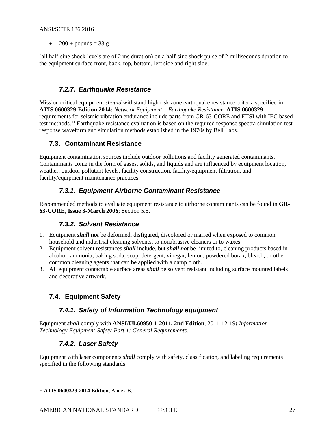•  $200 + pounds = 33 g$ 

(all half-sine shock levels are of 2 ms duration) on a half-sine shock pulse of 2 milliseconds duration to the equipment surface front, back, top, bottom, left side and right side.

### *7.2.7. Earthquake Resistance*

<span id="page-26-0"></span>Mission critical equipment *should* withstand high risk zone earthquake resistance criteria specified in **ATIS 0600329-Edition 2014:** *Network Equipment – Earthquake Resistance.* **ATIS 0600329** requirements for seismic vibration endurance include parts from GR-63-CORE and ETSI with IEC based test methods.[11](#page-26-7) Earthquake resistance evaluation is based on the required response spectra simulation test response waveform and simulation methods established in the 1970s by Bell Labs.

#### <span id="page-26-1"></span>**7.3. Contaminant Resistance**

Equipment contamination sources include outdoor pollutions and facility generated contaminants. Contaminants come in the form of gases, solids, and liquids and are influenced by equipment location, weather, outdoor pollutant levels, facility construction, facility/equipment filtration, and facility/equipment maintenance practices.

## *7.3.1. Equipment Airborne Contaminant Resistance*

<span id="page-26-3"></span><span id="page-26-2"></span>Recommended methods to evaluate equipment resistance to airborne contaminants can be found in **[GR-](#page-9-1)[63-CORE, Issue 3-March 2006](#page-9-1)**; Section 5.5.

### *7.3.2. Solvent Resistance*

- 1. Equipment *shall not* be deformed, disfigured, discolored or marred when exposed to common household and industrial cleaning solvents, to nonabrasive cleaners or to waxes.
- 2. Equipment solvent resistances *shall* include, but *shall not* be limited to, cleaning products based in alcohol, ammonia, baking soda, soap, detergent, vinegar, lemon, powdered borax, bleach, or other common cleaning agents that can be applied with a damp cloth.
- 3. All equipment contactable surface areas *shall* be solvent resistant including surface mounted labels and decorative artwork.

## <span id="page-26-5"></span><span id="page-26-4"></span>**7.4. Equipment Safety**

### *7.4.1. Safety of Information Technology equipment*

<span id="page-26-6"></span>Equipment *shall* comply with **[ANSI/UL60950-1-2011, 2nd](#page-6-3) Edition**, 2011-12-19**:** *Information Technology Equipment-Safety-Part 1: General Requirements.*

### *7.4.2. Laser Safety*

Equipment with laser components *shall* comply with safety, classification, and labeling requirements specified in the following standards:

<span id="page-26-7"></span> <sup>11</sup> **ATIS 0600329-2014 Edition**, Annex B.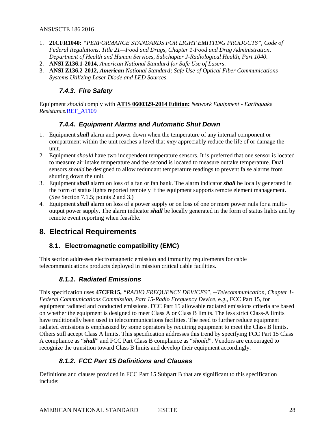- 1. **21CFR1040:** *["PERFORMANCE STANDARDS FOR LIGHT EMITTING PRODUCTS", Code of](#page-7-1)  [Federal Regulations, Title 21—Food and Drugs, Chapter 1-Food and Drug Administration,](#page-7-1)  [Department of Health and Human Services, Subchapter J-Radiological Health, Part 1040](#page-7-1)*.
- 2. **ANSI Z136.1-2014,** *[American National Standard for Safe Use of Lasers](#page-6-4)*.
- <span id="page-27-0"></span>3. **ANSI Z136.2-2012,** *American [National Standard; Safe Use of Optical Fiber Communications](#page-6-5)  [Systems Utilizing Laser Diode and LED Sources](#page-6-5)*.

#### *7.4.3. Fire Safety*

<span id="page-27-1"></span>Equipment *should* comply with **ATIS 0600329-2014 Edition:** *Network Equipment - Earthquake Resistance.*REF\_ATI09

#### *7.4.4. Equipment Alarms and Automatic Shut Down*

- 1. Equipment *shall* alarm and power down when the temperature of any internal component or compartment within the unit reaches a level that *may* appreciably reduce the life of or damage the unit.
- 2. Equipment *should* have two independent temperature sensors. It is preferred that one sensor is located to measure air intake temperature and the second is located to measure outtake temperature. Dual sensors *should* be designed to allow redundant temperature readings to prevent false alarms from shutting down the unit.
- 3. Equipment *shall* alarm on loss of a fan or fan bank. The alarm indicator *shall* be locally generated in the form of status lights reported remotely if the equipment supports remote element management. (See Section [7.1.5;](#page-22-1) points 2 and 3.)
- 4. Equipment *shall* alarm on loss of a power supply or on loss of one or more power rails for a multioutput power supply. The alarm indicator *shall* be locally generated in the form of status lights and by remote event reporting when feasible.

## <span id="page-27-3"></span><span id="page-27-2"></span>**8. Electrical Requirements**

### **8.1. Electromagnetic compatibility (EMC)**

<span id="page-27-4"></span>This section addresses electromagnetic emission and immunity requirements for cable telecommunications products deployed in mission critical cable facilities.

### *8.1.1. Radiated Emissions*

This specification uses **47CFR15,** *["RADIO FREQUENCY DEVICES", --Telecommunication, Chapter 1-](#page-7-4) [Federal Communications Commission, Part 15-Radio Frequency Device,](#page-7-4)* e.g., FCC Part 15, for equipment radiated and conducted emissions. FCC Part 15 allowable radiated emissions criteria are based on whether the equipment is designed to meet Class A or Class B limits. The less strict Class-A limits have traditionally been used in telecommunications facilities. The need to further reduce equipment radiated emissions is emphasized by some operators by requiring equipment to meet the Class B limits. Others still accept Class A limits. This specification addresses this trend by specifying FCC Part 15 Class A compliance as "*shall*" and FCC Part Class B compliance as "*should*". Vendors are encouraged to recognize the transition toward Class B limits and develop their equipment accordingly.

### *8.1.2. FCC Part 15 Definitions and Clauses*

<span id="page-27-5"></span>Definitions and clauses provided in FCC Part 15 Subpart B that are significant to this specification include: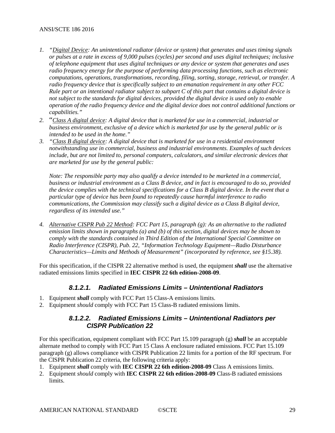- *1. "Digital Device: An unintentional radiator (device or system) that generates and uses timing signals or pulses at a rate in excess of 9,000 pulses (cycles) per second and uses digital techniques; inclusive of telephone equipment that uses digital techniques or any device or system that generates and uses radio frequency energy for the purpose of performing data processing functions, such as electronic computations, operations, transformations, recording, filing, sorting, storage, retrieval, or transfer. A radio frequency device that is specifically subject to an emanation requirement in any other FCC Rule part or an intentional radiator subject to subpart C of this part that contains a digital device is not subject to the standards for digital devices, provided the digital device is used only to enable operation of the radio frequency device and the digital device does not control additional functions or capabilities."*
- *2.* "*Class A digital device: A digital device that is marketed for use in a commercial, industrial or business environment, exclusive of a device which is marketed for use by the general public or is intended to be used in the home."*
- *3. "Class B digital device: A digital device that is marketed for use in a residential environment notwithstanding use in commercial, business and industrial environments. Examples of such devices include, but are not limited to, personal computers, calculators, and similar electronic devices that are marketed for use by the general public:*

*Note: The responsible party may also qualify a device intended to be marketed in a commercial, business or industrial environment as a Class B device, and in fact is encouraged to do so, provided the device complies with the technical specifications for a Class B digital device. In the event that a particular type of device has been found to repeatedly cause harmful interference to radio communications, the Commission may classify such a digital device as a Class B digital device, regardless of its intended use."*

*4. Alternative CISPR Pub 22 Method: FCC Part 15, paragraph (g): As an alternative to the radiated emission limits shown in paragraphs (a) and (b) of this section, digital devices may be shown to comply with the standards contained in Third Edition of the International Special Committee on Radio Interference (CISPR), Pub. 22, "Information Technology Equipment—Radio Disturbance Characteristics—Limits and Methods of Measurement" (incorporated by reference, see §15.38).*

For this specification, if the CISPR 22 alternative method is used, the equipment *shall* use the alternative radiated emissions limits specified in **IEC CISPR 22 6th edition-2008-09**.

#### *8.1.2.1. Radiated Emissions Limits – Unintentional Radiators*

- 1. Equipment *shall* comply with FCC Part 15 Class-A emissions limits.
- 2. Equipment *should* comply with FCC Part 15 Class-B radiated emissions limits.

#### *8.1.2.2. Radiated Emissions Limits – Unintentional Radiators per CISPR Publication 22*

For this specification, equipment compliant with FCC Part 15.109 paragraph (g) *shall* be an acceptable alternate method to comply with FCC Part 15 Class A enclosure radiated emissions. FCC Part 15.109 paragraph (g) allows compliance with CISPR Publication 22 limits for a portion of the RF spectrum. For the CISPR Publication 22 criteria, the following criteria apply:

- 1. Equipment *shall* comply with **IEC CISPR 22 6th edition-2008-09** Class A emissions limits.
- 2. Equipment *should* comply with **IEC CISPR 22 6th edition-2008-09** Class-B radiated emissions limits.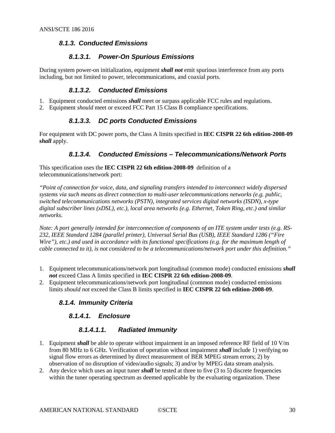#### <span id="page-29-0"></span>*8.1.3. Conducted Emissions*

#### *8.1.3.1. Power-On Spurious Emissions*

During system power-on initialization, equipment *shall not* emit spurious interference from any ports including, but not limited to power, telecommunications, and coaxial ports.

#### *8.1.3.2. Conducted Emissions*

- 1. Equipment conducted emissions *shall* meet or surpass applicable FCC rules and regulations.
- 2. Equipment *should* meet or exceed FCC Part 15 Class B compliance specifications.

### *8.1.3.3. DC ports Conducted Emissions*

For equipment with DC power ports, the Class A limits specified in **IEC CISPR 22 6th edition-2008-09** *shall* apply.

#### *8.1.3.4. Conducted Emissions – Telecommunications/Network Ports*

This specification uses the **IEC CISPR 22 6th edition-2008-09** definition of a telecommunications/network port:

*"Point of connection for voice, data, and signaling transfers intended to interconnect widely dispersed systems via such means as direct connection to multi-user telecommunications networks (e.g. public, switched telecommunications networks (PSTN), integrated services digital networks (ISDN), x-type digital subscriber lines (xDSL), etc.), local area networks (e.g. Ethernet, Token Ring, etc.) and similar networks.*

*Note: A port generally intended for interconnection of components of an ITE system under tests (e.g. RS-232, IEEE Standard 1284 (parallel printer), Universal Serial Bus (USB), IEEE Standard 1286 ("Fire Wire"), etc.) and used in accordance with its functional specifications (e.g. for the maximum length of cable connected to it), is not considered to be a telecommunications/network port under this definition."*

- 1. Equipment telecommunications/network port longitudinal (common mode) conducted emissions *shall not* exceed Class A limits specified in **IEC CISPR 22 6th edition-2008-09**.
- <span id="page-29-1"></span>2. Equipment telecommunications/network port longitudinal (common mode) conducted emissions limits *should not* exceed the Class B limits specified in **IEC CISPR 22 6th edition-2008-09**.

#### *8.1.4. Immunity Criteria*

#### *8.1.4.1. Enclosure*

#### *8.1.4.1.1. Radiated Immunity*

- 1. Equipment *shall* be able to operate without impairment in an imposed reference RF field of 10 V/m from 80 MHz to 6 GHz. Verification of operation without impairment *shall* include 1) verifying no signal flow errors as determined by direct measurement of BER MPEG stream errors; 2) by observation of no disruption of video/audio signals; 3) and/or by MPEG data stream analysis.
- 2. Any device which uses an input tuner *shall* be tested at three to five (3 to 5) discrete frequencies within the tuner operating spectrum as deemed applicable by the evaluating organization. These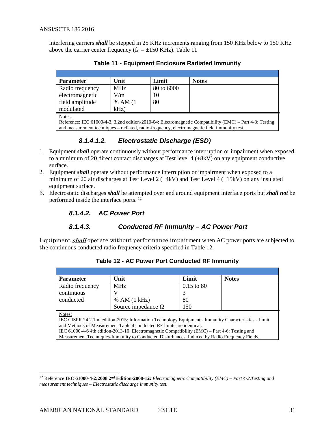<span id="page-30-0"></span>interfering carriers *shall* be stepped in 25 KHz increments ranging from 150 KHz below to 150 KHz above the carrier center frequency ( $f_C = \pm 150$  KHz). [Table 11](#page-30-0)

| <b>Parameter</b> | Unit       | Limit      | <b>Notes</b> |
|------------------|------------|------------|--------------|
| Radio frequency  | <b>MHz</b> | 80 to 6000 |              |
| electromagnetic  | V/m        | 10         |              |
| field amplitude  | % AM(1)    | 80         |              |
| modulated        | $kHz$ )    |            |              |
| Notes:           |            |            |              |

**Table 11 - Equipment Enclosure Radiated Immunity**

Reference: IEC 61000-4-3, 3.2nd edition-2010-04: Electromagnetic Compatibility (EMC) – Part 4-3: Testing and measurement techniques – radiated, radio-frequency, electromagnetic field immunity test..

### *8.1.4.1.2. Electrostatic Discharge (ESD)*

- 1. Equipment *shall* operate continuously without performance interruption or impairment when exposed to a minimum of 20 direct contact discharges at Test level  $4 (+8kV)$  on any equipment conductive surface.
- 2. Equipment *shall* operate without performance interruption or impairment when exposed to a minimum of 20 air discharges at Test Level 2 ( $\pm$ 4kV) and Test Level 4 ( $\pm$ 15kV) on any insulated equipment surface.
- 3. Electrostatic discharges *shall* be attempted over and around equipment interface ports but *shall not* be performed inside the interface ports.<sup>[12](#page-30-2)</sup>

#### *8.1.4.2. AC Power Port*

#### *8.1.4.3. Conducted RF Immunity – AC Power Port*

<span id="page-30-1"></span>Equipment **shall** operate without performance impairment when AC power ports are subjected to the continuous conducted radio frequency criteria specified in [Table 12.](#page-30-1)

| <b>Parameter</b>                                                                                      | Unit                                                                                             | Limit        | <b>Notes</b> |  |  |  |
|-------------------------------------------------------------------------------------------------------|--------------------------------------------------------------------------------------------------|--------------|--------------|--|--|--|
| Radio frequency                                                                                       | <b>MHz</b>                                                                                       | $0.15$ to 80 |              |  |  |  |
| continuous                                                                                            |                                                                                                  |              |              |  |  |  |
| conducted                                                                                             | % AM (1 kHz)                                                                                     | 80           |              |  |  |  |
|                                                                                                       | Source impedance $\Omega$                                                                        | 150          |              |  |  |  |
| Notes:                                                                                                |                                                                                                  |              |              |  |  |  |
| IEC CISPR 24 2.1 nd edition-2015: Information Technology Equipment - Immunity Characteristics - Limit |                                                                                                  |              |              |  |  |  |
|                                                                                                       | and Methods of Measurement Table 4 conducted RF limits are identical.                            |              |              |  |  |  |
|                                                                                                       | IEC $61000-4-6$ 4th edition-2013-10: Electromagnetic Compatibility (EMC) – Part 4-6: Testing and |              |              |  |  |  |

**Table 12 - AC Power Port Conducted RF Immunity**

Measurement Techniques-Immunity to Conducted Disturbances, Induced by Radio Frequency Fields.

<span id="page-30-2"></span> <sup>12</sup> Reference **IEC 61000-4-2:2008 2nd Edition-2008-12:** *[Electromagnetic Compatibility \(EMC\) –](#page-9-2) Part 4-2*.*Testing and measurement techniques – Electrostatic discharge immunity test.*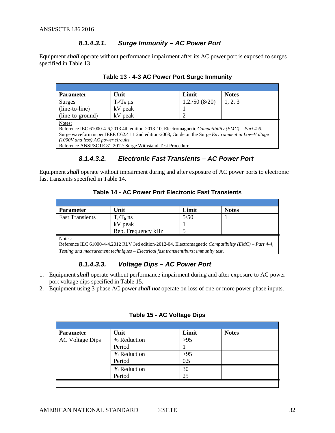#### *8.1.4.3.1. Surge Immunity – AC Power Port*

<span id="page-31-0"></span>Equipment *shall* operate without performance impairment after its AC power port is exposed to surges specified in [Table 13.](#page-31-0)

| <b>Parameter</b>                                                                                                                                                                                                                                                                                                                  | Unit            | Limit         | <b>Notes</b> |  |  |
|-----------------------------------------------------------------------------------------------------------------------------------------------------------------------------------------------------------------------------------------------------------------------------------------------------------------------------------|-----------------|---------------|--------------|--|--|
| Surges                                                                                                                                                                                                                                                                                                                            | $T_r/T_h \mu s$ | 1.2./50(8/20) | 1, 2, 3      |  |  |
| (line-to-line)                                                                                                                                                                                                                                                                                                                    | kV peak         |               |              |  |  |
| (line-to-ground)                                                                                                                                                                                                                                                                                                                  | kV peak         |               |              |  |  |
| Notes:<br>Reference IEC 61000-4-6,2013 4th edition-2013-10, Electromagnetic Compatibility (EMC) – Part 4-6.<br>Surge waveform is per IEEE C62.41.1 2nd edition-2008, Guide on the Surge <i>Environment in Low-Voltage</i><br>$(1000V$ and less) AC power circuits<br>Reference ANSI/SCTE 81-2012: Surge Withstand Test Procedure. |                 |               |              |  |  |

#### **Table 13 - 4-3 AC Power Port Surge Immunity**

## *8.1.4.3.2. Electronic Fast Transients – AC Power Port*

<span id="page-31-1"></span>Equipment *shall* operate without impairment during and after exposure of AC power ports to electronic fast transients specified in [Table 14.](#page-31-1)

#### **Table 14 - AC Power Port Electronic Fast Transients**

| <b>Parameter</b>       | Unit                                                                                                  | Limit | <b>Notes</b> |
|------------------------|-------------------------------------------------------------------------------------------------------|-------|--------------|
| <b>Fast Transients</b> | $T_r/T_h$ ns                                                                                          | 5/50  |              |
|                        | kV peak                                                                                               |       |              |
|                        | Rep. Frequency kHz                                                                                    |       |              |
| Notes:                 |                                                                                                       |       |              |
|                        | Reference IEC 61000-4-4,2012 RLV 3rd edition-2012-04, Electromagnetic Compatibility (EMC) - Part 4-4, |       |              |
|                        | $\mid$ Testing and measurement techniques – Electrical fast transient/burst immunity test.            |       |              |

## *8.1.4.3.3. Voltage Dips – AC Power Port*

- 1. Equipment *shall* operate without performance impairment during and after exposure to AC power port voltage dips specified in [Table 15.](#page-31-2)
- <span id="page-31-2"></span>2. Equipment using 3-phase AC power *shall not* operate on loss of one or more power phase inputs.

| <b>Parameter</b>       | Unit        | Limit | <b>Notes</b> |  |
|------------------------|-------------|-------|--------------|--|
| <b>AC Voltage Dips</b> | % Reduction | >95   |              |  |
|                        | Period      |       |              |  |
|                        | % Reduction | >95   |              |  |
|                        | Period      | 0.5   |              |  |
|                        | % Reduction | 30    |              |  |
|                        | Period      | 25    |              |  |

#### **Table 15 - AC Voltage Dips**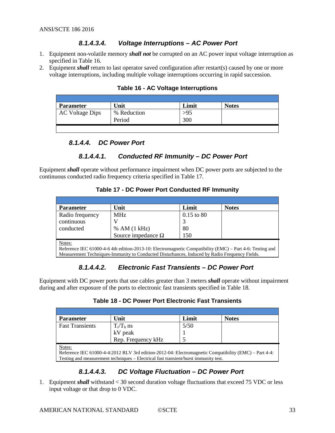#### *8.1.4.3.4. Voltage Interruptions – AC Power Port*

- 1. Equipment non-volatile memory *shall not* be corrupted on an AC power input voltage interruption as specified in [Table 16.](#page-32-0)
- <span id="page-32-0"></span>2. Equipment *shall* return to last operator saved configuration after restart(s) caused by one or more voltage interruptions, including multiple voltage interruptions occurring in rapid succession.

| <b>Parameter</b>       | Unit                  | Limit      | <b>Notes</b> |
|------------------------|-----------------------|------------|--------------|
| <b>AC Voltage Dips</b> | % Reduction<br>Period | >95<br>300 |              |
|                        |                       |            |              |

#### **Table 16 - AC Voltage Interruptions**

#### *8.1.4.4. DC Power Port*

#### *8.1.4.4.1. Conducted RF Immunity – DC Power Port*

<span id="page-32-1"></span>Equipment *shall* operate without performance impairment when DC power ports are subjected to the continuous conducted radio frequency criteria specified i[n Table 17.](#page-32-1)

#### **Table 17 - DC Power Port Conducted RF Immunity**

| <b>Parameter</b> | Unit                                                                                                     | Limit        | <b>Notes</b> |  |  |
|------------------|----------------------------------------------------------------------------------------------------------|--------------|--------------|--|--|
| Radio frequency  | <b>MHz</b>                                                                                               | $0.15$ to 80 |              |  |  |
| continuous       |                                                                                                          |              |              |  |  |
| conducted        | % AM (1 kHz)                                                                                             | 80           |              |  |  |
|                  | Source impedance $\Omega$                                                                                | 150          |              |  |  |
| Notes:           |                                                                                                          |              |              |  |  |
|                  | Reference IEC 61000-4-6 4th edition-2013-10: Electromagnetic Compatibility (EMC) – Part 4-6: Testing and |              |              |  |  |

Measurement Techniques-Immunity to Conducted Disturbances, Induced by Radio Frequency Fields.

### *8.1.4.4.2. Electronic Fast Transients – DC Power Port*

<span id="page-32-2"></span>Equipment with DC power ports that use cables greater than 3 meters *shall* operate without impairment during and after exposure of the ports to electronic fast transients specified in [Table 18.](#page-32-2)

| Table 18 - DC Power Port Electronic Fast Transients |  |  |
|-----------------------------------------------------|--|--|
|-----------------------------------------------------|--|--|

| <b>Parameter</b>                                                                                      | Unit                                                                                | Limit | <b>Notes</b> |  |  |  |
|-------------------------------------------------------------------------------------------------------|-------------------------------------------------------------------------------------|-------|--------------|--|--|--|
| <b>Fast Transients</b>                                                                                |                                                                                     | 5/50  |              |  |  |  |
|                                                                                                       | $T_r/T_h$ ns<br>kV peak                                                             |       |              |  |  |  |
|                                                                                                       | Rep. Frequency kHz                                                                  |       |              |  |  |  |
| Notes:                                                                                                |                                                                                     |       |              |  |  |  |
| Reference IEC 61000-4-4:2012 RLV 3rd edition-2012-04: Electromagnetic Compatibility (EMC) – Part 4-4: |                                                                                     |       |              |  |  |  |
|                                                                                                       | Testing and measurement techniques – Electrical fast transient/burst immunity test. |       |              |  |  |  |

#### *8.1.4.4.3. DC Voltage Fluctuation – DC Power Port*

1. Equipment *shall* withstand < 30 second duration voltage fluctuations that exceed 75 VDC or less input voltage or that drop to 0 VDC.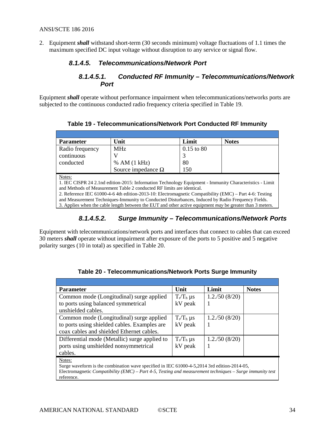2. Equipment *shall* withstand short-term (30 seconds minimum) voltage fluctuations of 1.1 times the maximum specified DC input voltage without disruption to any service or signal flow.

#### *8.1.4.5. Telecommunications/Network Port*

#### *8.1.4.5.1. Conducted RF Immunity – Telecommunications/Network Port*

<span id="page-33-0"></span>Equipment *shall* operate without performance impairment when telecommunications/networks ports are subjected to the continuous conducted radio frequency criteria specified in [Table 19.](#page-33-0)

| <b>Parameter</b> | Unit                                                                                                      | Limit                 | <b>Notes</b> |  |  |  |
|------------------|-----------------------------------------------------------------------------------------------------------|-----------------------|--------------|--|--|--|
| Radio frequency  | <b>MHz</b>                                                                                                | $0.15 \text{ to } 80$ |              |  |  |  |
| continuous       |                                                                                                           |                       |              |  |  |  |
| conducted        | % AM (1 kHz)                                                                                              | 80                    |              |  |  |  |
|                  | Source impedance $\Omega$                                                                                 | 150                   |              |  |  |  |
| Notes:           |                                                                                                           |                       |              |  |  |  |
|                  | 1. IEC CISPR 24 2.1nd edition-2015: Information Technology Equipment - Immunity Characteristics - Limit   |                       |              |  |  |  |
|                  | and Methods of Measurement Table 2 conducted RF limits are identical.                                     |                       |              |  |  |  |
|                  | 2. Reference IEC 61000-4-6 4th edition-2013-10: Electromagnetic Compatibility (EMC) – Part 4-6: Testing   |                       |              |  |  |  |
|                  | and Measurement Techniques-Immunity to Conducted Disturbances, Induced by Radio Frequency Fields.         |                       |              |  |  |  |
|                  | 3. Applies when the cable length between the EUT and other active equipment may be greater than 3 meters. |                       |              |  |  |  |

**Table 19 - Telecommunications/Network Port Conducted RF Immunity**

#### *8.1.4.5.2. Surge Immunity – Telecommunications/Network Ports*

Equipment with telecommunications/network ports and interfaces that connect to cables that can exceed 30 meters *shall* operate without impairment after exposure of the ports to 5 positive and 5 negative polarity surges (10 in total) as specified in [Table 20.](#page-33-1)

<span id="page-33-1"></span>

| <b>Parameter</b>                                                                                                                                                                                                                                                                                                                             | Unit            | Limit         | <b>Notes</b> |
|----------------------------------------------------------------------------------------------------------------------------------------------------------------------------------------------------------------------------------------------------------------------------------------------------------------------------------------------|-----------------|---------------|--------------|
| Common mode (Longitudinal) surge applied                                                                                                                                                                                                                                                                                                     | $T_r/T_h \mu s$ | 1.2./50(8/20) |              |
| to ports using balanced symmetrical                                                                                                                                                                                                                                                                                                          | kV peak         |               |              |
| unshielded cables.                                                                                                                                                                                                                                                                                                                           |                 |               |              |
| Common mode (Longitudinal) surge applied                                                                                                                                                                                                                                                                                                     | $T_r/T_h \mu s$ | 1.2./50(8/20) |              |
| to ports using shielded cables. Examples are                                                                                                                                                                                                                                                                                                 | kV peak         |               |              |
| coax cables and shielded Ethernet cables.                                                                                                                                                                                                                                                                                                    |                 |               |              |
| Differential mode (Metallic) surge applied to                                                                                                                                                                                                                                                                                                | $T_r/T_h \mu s$ | 1.2./50(8/20) |              |
| ports using unshielded nonsymmetrical                                                                                                                                                                                                                                                                                                        | kV peak         |               |              |
| cables.                                                                                                                                                                                                                                                                                                                                      |                 |               |              |
| Notes:                                                                                                                                                                                                                                                                                                                                       |                 |               |              |
| Surge waveform is the combination wave specified in IEC 61000-4-5,2014 3rd edition-2014-05,<br>$\mathcal{L}$ . The contract $\mathbf{r}$ is a contract of the contract of the contract of the contract of the contract of the contract of the contract of the contract of the contract of the contract of the contract of the contrac<br>TH. |                 |               |              |

**Table 20 - Telecommunications/Network Ports Surge Immunity**

Electromagnetic *Compatibility (EMC) – [Part 4-5, Testing and measurement techniques –](#page-10-8) Surge immunity test* reference.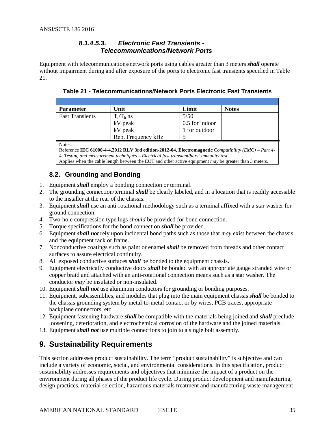#### *8.1.4.5.3. Electronic Fast Transients - Telecommunications/Network Ports*

<span id="page-34-2"></span>Equipment with telecommunications/network ports using cables greater than 3 meters *shall* operate without impairment during and after exposure of the ports to electronic fast transients specified in [Table](#page-34-2)  [21.](#page-34-2)

| <b>Parameter</b>       | Unit               | Limit            | <b>Notes</b> |
|------------------------|--------------------|------------------|--------------|
| <b>Fast Transients</b> | $T_r/T_h$ ns       | 5/50             |              |
|                        | kV peak            | $0.5$ for indoor |              |
|                        | kV peak            | 1 for outdoor    |              |
|                        | Rep. Frequency kHz |                  |              |

**Table 21 - Telecommunications/Network Ports Electronic Fast Transients**

Notes:

Reference **IEC 61000-4-4,2012 RLV 3rd [edition-2012-04, Electromagnetic](#page-10-7)** *Compatibility (EMC) – Part 4- 4, Testing and measurement techniques – [Electrical fast transient/burst immunity test](#page-10-7)*. Applies when the cable length between the EUT and other active equipment *may* be greater than 3 meters.

## <span id="page-34-0"></span>**8.2. Grounding and Bonding**

- 1. Equipment *shall* employ a bonding connection or terminal.
- 2. The grounding connection/terminal *shall* be clearly labeled, and in a location that is readily accessible to the installer at the rear of the chassis.
- 3. Equipment *shall* use an anti-rotational methodology such as a terminal affixed with a star washer for ground connection.
- 4. Two-hole compression type lugs *should* be provided for bond connection.
- 5. Torque specifications for the bond connection *shall* be provided.
- 6. Equipment *shall not* rely upon incidental bond paths such as those that *may* exist between the chassis and the equipment rack or frame.
- 7. Nonconductive coatings such as paint or enamel *shall* be removed from threads and other contact surfaces to assure electrical continuity.
- 8. All exposed conductive surfaces *shall* be bonded to the equipment chassis.
- 9. Equipment electrically conductive doors *shall* be bonded with an appropriate gauge stranded wire or copper braid and attached with an anti-rotational connection means such as a star washer. The conductor *may* be insulated or non-insulated.
- 10. Equipment *shall not* use aluminum conductors for grounding or bonding purposes.
- 11. Equipment, subassemblies, and modules that plug into the main equipment chassis *shall* be bonded to the chassis grounding system by metal-to-metal contact or by wires, PCB traces, appropriate backplane connectors, etc.
- 12. Equipment fastening hardware *shall* be compatible with the materials being joined and *shall* preclude loosening, deterioration, and electrochemical corrosion of the hardware and the joined materials.
- <span id="page-34-1"></span>13. Equipment *shall not* use multiple connections to join to a single bolt assembly.

## **9. Sustainability Requirements**

This section addresses product sustainability. The term "product sustainability" is subjective and can include a variety of economic, social, and environmental considerations. In this specification, product sustainability addresses requirements and objectives that minimize the impact of a product on the environment during all phases of the product life cycle. During product development and manufacturing, design practices, material selection, hazardous materials treatment and manufacturing waste management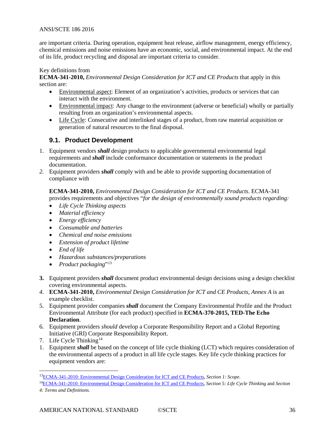are important criteria. During operation, equipment heat release, airflow management, energy efficiency, chemical emissions and noise emissions have an economic, social, and environmental impact. At the end of its life, product recycling and disposal are important criteria to consider.

#### Key definitions from

**[ECMA-341-2010,](#page-7-5)** *Environmental Design Consideration for ICT and CE Products* that apply in this section are:

- Environmental aspect: Element of an organization's activities, products or services that can interact with the environment.
- Environmental impact: Any change to the environment (adverse or beneficial) wholly or partially resulting from an organization's environmental aspects.
- Life Cycle: Consecutive and interlinked stages of a product, from raw material acquisition or generation of natural resources to the final disposal.

#### <span id="page-35-0"></span>**9.1. Product Development**

- 1. Equipment vendors *shall* design products to applicable governmental environmental legal requirements and *shall* include conformance documentation or statements in the product documentation.
- *2.* Equipment providers *shall* comply with and be able to provide supporting documentation of compliance with

#### **[ECMA-341-2010,](#page-7-5)** *Environmental Design Consideration for ICT and CE Products*. ECMA-341 provides requirements and objectives "*for the design of environmentally sound products regarding:*

- *Life Cycle Thinking aspects*
- *Material efficiency*
- *Energy efficiency*
- *Consumable and batteries*
- *Chemical and noise emissions*
- *Extension of product lifetime*
- *End of life*
- *Hazardous substances/preparations*
- *Product packaging*["13](#page-35-1)
- **3.** Equipment providers *shall* docu[ment product environmental design decisions using a design checklist](#page-7-5)  covering environmental aspects.
- *4.* **[ECMA-341-2010,](#page-7-5)** *Environmental Design Consideration for ICT and CE Products*, *Annex A* is an example checklist.
- 5. Equipment provider companies *shall* document the Company Environmental Profile and the Product Environmental Attribute (for each product) specified in **[ECMA-370-2015, TED-The Echo](#page-7-6)  [Declaration](#page-7-6)**.
- 6. Equipment providers *should* develop a Corporate Responsibility Report and a Global Reporting Initiative (GRI) Corporate Responsibility Report.
- 7. Life Cycle Thinking<sup>[14](#page-35-2)</sup>
- 1. Equipment *shall* be based on the concept of life cycle thinking (LCT) which requires consideration of the environmental aspects of a product in all life cycle stages. Key life cycle thinking practices for equipment vendors are:

<span id="page-35-1"></span> <sup>1</sup>[3ECMA-341-2010: Environmental Design Consideration for ICT and CE Products,](#page-7-5) *Section 1: Scope*.

<span id="page-35-2"></span><sup>1</sup>[4ECMA-341-2010: Environmental Design Consideration for ICT and CE Products,](#page-7-5) *Section 5: Life Cycle Thinking* and *Section* 

*<sup>4:</sup> Terms and Definitions.*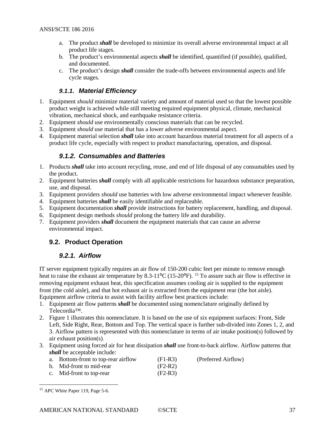- a. The product *shall* be developed to minimize its overall adverse environmental impact at all product life stages.
- b. The product's environmental aspects *shall* be identified, quantified (if possible), qualified, and documented.
- c. The product's design *shall* consider the trade-offs between environmental aspects and life cycle stages.

#### *9.1.1. Material Efficiency*

- <span id="page-36-0"></span>1. Equipment *should* minimize material variety and amount of material used so that the lowest possible product weight is achieved while still meeting required equipment physical, climate, mechanical vibration, mechanical shock, and earthquake resistance criteria.
- 2. Equipment *should* use environmentally conscious materials that can be recycled.
- 3. Equipment *should* use material that has a lower adverse environmental aspect.
- <span id="page-36-1"></span>4. Equipment material selection *shall* take into account hazardous material treatment for all aspects of a product life cycle, especially with respect to product manufacturing, operation, and disposal.

#### *9.1.2. Consumables and Batteries*

- 1. Products *shall* take into account recycling, reuse, and end of life disposal of any consumables used by the product.
- 2. Equipment batteries *shall* comply with all applicable restrictions for hazardous substance preparation, use, and disposal.
- 3. Equipment providers *should* use batteries with low adverse environmental impact whenever feasible.
- 4. Equipment batteries *shall* be easily identifiable and replaceable.
- 5. Equipment documentation *shall* provide instructions for battery replacement, handling, and disposal.
- 6. Equipment design methods *should* prolong the battery life and durability.
- 7. Equipment providers *shall* document the equipment materials that can cause an adverse environmental impact.

### <span id="page-36-3"></span><span id="page-36-2"></span>**9.2. Product Operation**

#### *9.2.1. Airflow*

IT server equipment typically requires an air flow of 150-200 cubic feet per minute to remove enough heat to raise the exhaust air temperature by  $8.3\times11^{9}C$  ([15](#page-36-4)-20<sup>o</sup>F). <sup>15</sup> To assure such air flow is effective in removing equipment exhaust heat, this specification assumes cooling air is supplied to the equipment front (the cold aisle), and that hot exhaust air is extracted from the equipment rear (the hot aisle). Equipment airflow criteria to assist with facility airflow best practices include:

- 1. Equipment air flow patterns *shall* be documented using [nomenclature originally defined by](#page-37-2)  Telecordia™.
- 2. [Figure](#page-37-2) 1 illustrates this nomenclature. It is based on the use of six equipment surfaces: Front, Side Left, Side Right, Rear, Bottom and Top. The vertical space is further sub-divided into Zones 1, 2, and 3. Airflow pattern is represented with this nomenclature in terms of air intake position(s) followed by air exhaust position(s).
- 3. Equipment using forced air for heat dissipation *shall* use front-to-back airflow. Airflow patterns that *shall* be acceptable include:

| a. Bottom-front to top-rear airflow | $(F1-R3)$ | (Preferred Airflow) |
|-------------------------------------|-----------|---------------------|
|-------------------------------------|-----------|---------------------|

- b. Mid-front to mid-rear (F2-R2)
- c. Mid-front to top-rear (F2-R3)

<span id="page-36-4"></span><sup>&</sup>lt;sup>15</sup> APC White Paper 119, Page 5-6.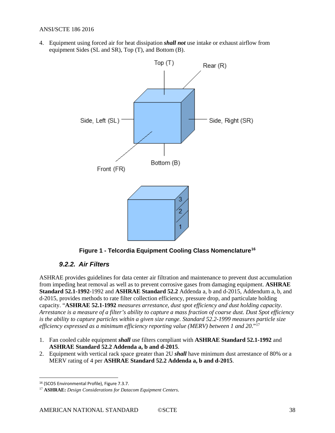<span id="page-37-2"></span>4. Equipment using forced air for heat dissipation *shall not* use intake or exhaust airflow from equipment Sides (SL and SR), Top (T), and Bottom (B).



**Figure 1 - Telcordia Equipment Cooling Class Nomenclatur[e16](#page-37-3)**

#### <span id="page-37-1"></span>*9.2.2. Air Filters*

<span id="page-37-0"></span>ASHRAE provides guidelines for data center air filtration and maintenance to prevent dust accumulation from impeding heat removal as well as to prevent corrosive gases from damaging equipment. **[ASHRAE](#page-6-6)  [Standard 52.1-1992](#page-6-6)**-1992 and **[ASHRAE Standard 52.2](#page-6-7)** Addenda a, b and d-2015, Addendum a, b, and d-2015, provides methods to rate filter collection efficiency, pressure drop, and particulate holding capacity. "**ASHRAE 52.1-1992** *measures arrestance, dust spot efficiency and dust holding capacity. Arrestance is a measure of a filter's ability to capture a mass fraction of coarse dust. Dust Spot efficiency is the ability to capture particles within a given size range. Standard 52.2-1999 measures particle size efficiency expressed as a minimum efficiency reporting value (MERV) between 1 and 20*."[17](#page-37-4)

- 1. Fan cooled cable equipment *shall* use filters compliant with **[ASHRAE Standard 52.1-1992](#page-6-6)** and **[ASHRAE Standard 52.2 Addenda a, b and d-2015](#page-6-7)**.
- 2. Equipment with vertical rack space greater than 2U *shall* have minimum dust arrestance of 80% or a MERV rating of 4 per **[ASHRAE Standard 52.2 Addenda a, b and d-2015](#page-6-7)**.

 $\ddot{\phantom{a}}$ 

<span id="page-37-3"></span><sup>16</sup> (SCO5 Environmental Profile), Figure 7.3.7.

<span id="page-37-4"></span><sup>17</sup> **ASHRAE:** *Design [Considerations for Datacom Equipment Centers](#page-11-2)*.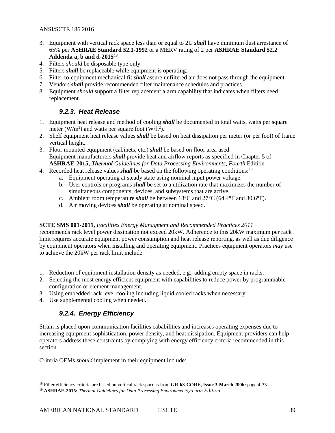- 3. Equipment with vertical rack space less than or equal to 2U *shall* have minimum dust arrestance of 65% per **[ASHRAE Standard 52.1-1992](#page-6-6)** or a MERV rating of 2 per **[ASHRAE Standard 52.2](#page-6-7)  [Addenda a, b and d-2015](#page-6-7)**[18](#page-38-2)
- 4. Filters *should* be disposable type only.
- 5. Filters *shall* be replaceable while equipment is operating.
- 6. Filter-to-equipment mechanical fit *shall* assure unfiltered air does not pass through the equipment.
- 7. Vendors *shall* provide recommended filter maintenance schedules and practices.
- <span id="page-38-0"></span>8. Equipment *should* support a filter replacement alarm capability that indicates when filters need replacement.

### *9.2.3. Heat Release*

- 1. Equipment heat release and method of cooling *shall* be documented in total watts, watts per square meter (W/m<sup>2</sup>) and watts per square foot (W/ft<sup>2</sup>).
- 2. Shelf equipment heat release values *shall* be based on heat dissipation per meter (or per foot) of frame vertical height.
- 3. Floor mounted equipment (cabinets, etc.) *shall* be based on floor area used. Equipment manufacturers *shall* provide heat and airflow reports as specified in Chapter 5 of **ASHRAE-2015,** *Thermal [Guidelines for Data Processing Environments, Fourth](#page-6-8)* Edition.
- 4. Recorded heat release values *shall* be based on the following operating conditions:[19](#page-38-3)
	- a. Equipment operating at steady state using nominal input power voltage.
		- b. User controls or programs *shall* be set to a utilization rate that maximizes the number of simultaneous components, devices, and subsystems that are active.
		- c. Ambient room temperature *shall* be between 18°C and 27°C (64.4°F and 80.6°F).
		- d. Air moving devices *shall* be operating at nominal speed.

#### **SCTE SMS 001-2011,** *[Facilities Energy Managment and Recommended Practices 2011](#page-6-2)*

recommends rack level power dissipation not exceed 20kW. Adherence to this 20kW maximum per rack limit requires accurate equipment power consumption and heat release reporting, as well as due diligence by equipment operators when installing and operating equipment. Practices equipment operators *may* use to achieve the 20kW per rack limit include:

- 1. Reduction of equipment installation density as needed, e.g., adding empty space in racks.
- 2. Selecting the most energy efficient equipment with capabilities to reduce power by programmable configuration or element management.
- 3. Using embedded rack level cooling including liquid cooled racks when necessary.
- <span id="page-38-1"></span>4. Use supplemental cooling when needed.

## *9.2.4. Energy Efficiency*

Strain is placed upon communication facilities cababilities and increases operating expenses due to increasing equipment sophistication, power density, and heat dissipation. Equipment providers can help operators address these constraints by complying with energy efficiency criteria recommended in this section.

Criteria OEMs *should* implement in their equipment include:

<span id="page-38-2"></span> <sup>18</sup> Filter efficiency criteria are based on vertical rack space is from **[GR-63-CORE, Issue 3-March 2006:](#page-9-1)** page 4-33.

<span id="page-38-3"></span><sup>19</sup> **ASHRAE-2015:** *[Thermal Guidelines for Data Processing Environments,Fourth](#page-6-8) Edition*.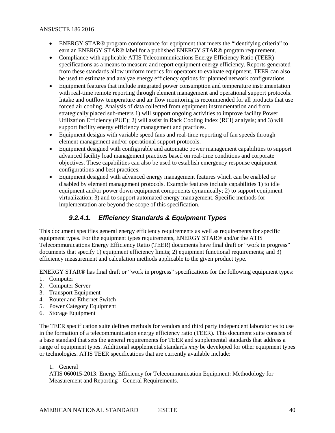- ENERGY STAR® program conformance for equipment that meets the "identifying criteria" to earn an ENERGY STAR® label for a published ENERGY STAR® program requirement.
- Compliance with applicable ATIS Telecommunications Energy Efficiency Ratio (TEER) specifications as a means to measure and report equipment energy efficiency. Reports generated from these standards allow uniform metrics for operators to evaluate equipment. TEER can also be used to estimate and analyze energy efficiency options for planned network configurations.
- Equipment features that include integrated power consumption and temperature instrumentation with real-time remote reporting through element management and operational support protocols. Intake and outflow temperature and air flow monitoring is recommended for all products that use forced air cooling. Analysis of data collected from equipment instrumentation and from strategically placed sub-meters 1) will support ongoing activities to improve facility Power Utilization Efficiency (PUE); 2) will assist in Rack Cooling Index (RCI) analysis; and 3) will support facility energy efficiency management and practices.
- Equipment designs with variable speed fans and real-time reporting of fan speeds through element management and/or operational support protocols.
- Equipment designed with configurable and automatic power management capabilities to support advanced facility load management practices based on real-time conditions and corporate objectives. These capabilities can also be used to establish emergency response equipment configurations and best practices.
- Equipment designed with advanced energy management features which can be enabled or disabled by element management protocols. Example features include capabilities 1) to idle equipment and/or power down equipment components dynamically; 2) to support equipment virtualization; 3) and to support automated energy management. Specific methods for implementation are beyond the scope of this specification.

## *9.2.4.1. Efficiency Standards & Equipment Types*

This document specifies general energy efficiency requirements as well as requirements for specific equipment types. For the equipment types requirements, ENERGY STAR® and/or the ATIS Telecommunications Energy Efficiency Ratio (TEER) documents have final draft or "work in progress" documents that specify 1) equipment efficiency limits; 2) equipment functional requirements; and 3) efficiency measurement and calculation methods applicable to the given product type.

ENERGY STAR® has final draft or "work in progress" specifications for the following equipment types:

- 1. Computer
- 2. Computer Server
- 3. Transport Equipment
- 4. Router and Ethernet Switch
- 5. Power Category Equipment
- 6. Storage Equipment

The TEER specification suite defines methods for vendors and third party independent laboratories to use in the formation of a telecommunication energy efficiency ratio (TEER). This document suite consists of a base standard that sets the general requirements for TEER and supplemental standards that address a range of equipment types. Additional supplemental standards *may* be developed for other equipment types or technologies. ATIS TEER specifications that are currently available include:

#### 1. General

ATIS 060015-2013: Energy Efficiency for Telecommunication Equipment: Methodology for Measurement and Reporting - General Requirements.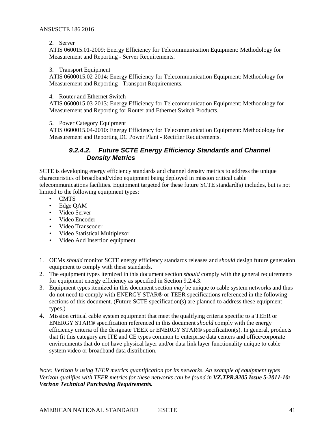#### 2. Server

ATIS 060015.01-2009: Energy Efficiency for Telecommunication Equipment: Methodology for Measurement and Reporting - Server Requirements.

#### 3. Transport Equipment

ATIS 0600015.02-2014: Energy Efficiency for Telecommunication Equipment: Methodology for Measurement and Reporting - Transport Requirements.

#### 4. Router and Ethernet Switch

ATIS 0600015.03-2013: Energy Efficiency for Telecommunication Equipment: Methodology for Measurement and Reporting for Router and Ethernet Switch Products.

5. Power Category Equipment

ATIS 0600015.04-2010: Energy Efficiency for Telecommunication Equipment: Methodology for Measurement and Reporting DC Power Plant - Rectifier Requirements.

#### *9.2.4.2. Future SCTE Energy Efficiency Standards and Channel Density Metrics*

SCTE is developing energy efficiency standards and channel density metrics to address the unique characteristics of broadband/video equipment being deployed in mission critical cable telecommunications facilities. Equipment targeted for these future SCTE standard(s) includes, but is not limited to the following equipment types:

- CMTS
- Edge QAM
- Video Server
- Video Encoder
- Video Transcoder
- Video Statistical Multiplexor
- Video Add Insertion equipment
- 1. OEMs *should* monitor SCTE energy efficiency standards releases and *should* design future generation equipment to comply with these standards.
- 2. The equipment types itemized in this document section *should* comply with the general requirements for equipment energy efficiency as specified in Section 9.2.4.3.
- 3. Equipment types itemized in this document section *may* be unique to cable system networks and thus do not need to comply with ENERGY STAR**®** or TEER specifications referenced in the following sections of this document. (Future SCTE specification(s) are planned to address these equipment types.)
- 4. Mission critical cable system equipment that meet the qualifying criteria specific to a TEER or ENERGY STAR**®** specification referenced in this document *should* comply with the energy efficiency criteria of the designate TEER or ENERGY STAR**®** specification(s). In general, products that fit this category are ITE and CE types common to enterprise data centers and office/corporate environments that do not have physical layer and/or data link layer functionality unique to cable system video or broadband data distribution.

*Note: Verizon is using TEER metrics quantification for its networks. An example of equipment types Verizon qualifies with TEER metrics for these networks can be found in VZ.TPR.9205 Issue 5-2011-10: Verizon Technical Purchasing Requirements.*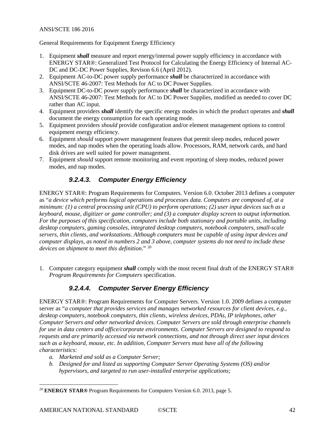General Requirements for Equipment Energy Efficiency

- 1. Equipment *shall* measure and report energy/internal power supply efficiency in accordance with ENERGY STAR®: Generalized Test Protocol for Calculating the Energy Efficiency of Internal AC-DC and DC-DC Power Supplies, Revison 6.6 (April 2012).
- 2. Equipment AC-to-DC power supply performance *shall* be characterized in accordance with ANSI/SCTE 46-2007: Test Methods for AC to DC Power Supplies.
- 3. Equipment DC-to-DC power supply performance *shall* be characterized in accordance with ANSI/SCTE 46-2007: Test Methods for AC to DC Power Supplies, modified as needed to cover DC rather than AC input.
- 4. Equipment providers *shall* identify the specific energy modes in which the product operates and *shall* document the energy consumption for each operating mode.
- 5. Equipment providers *should* provide configuration and/or element management options to control equipment energy efficiency.
- 6. Equipment *should* support power management features that permit sleep modes, reduced power modes, and nap modes when the operating loads allow. Processors, RAM, network cards, and hard disk drives are well suited for power management.
- 7. Equipment *should* support remote monitoring and event reporting of sleep modes, reduced power modes, and nap modes.

## *9.2.4.3. Computer Energy Efficiency*

ENERGY STAR®: Program Requirements for Computers. Version 6.0. October 2013 defines a computer as "*a device which performs logical operations and processes data. Computers are composed of, at a minimum: (1) a central processing unit (CPU) to perform operations; (2) user input devices such as a keyboard, mouse, digitizer or game controller; and (3) a computer display screen to output information. For the purposes of this specification, computers include both stationary and portable units, including desktop computers, gaming consoles, integrated desktop computers, notebook computers, small-scale servers, thin clients, and workstations. Although computers must be capable of using input devices and computer displays, as noted in numbers 2 and 3 above, computer systems do not need to include these devices on shipment to meet this definition*." [20](#page-41-0)

1. Computer category equipment *shall* comply with the most recent final draft of the ENERGY STAR® *Program Requirements for Computers* specification.

### *9.2.4.4. Computer Server Energy Efficiency*

ENERGY STAR®: Program Requirements for Computer Servers. Version 1.0. 2009 defines a computer server as "*a computer that provides services and manages networked resources for client devices, e.g., desktop computers, notebook computers, thin clients, wireless devices, PDAs, IP telephones, other Computer Servers and other networked devices. Computer Servers are sold through enterprise channels for use in data centers and office/corporate environments. Computer Servers are designed to respond to requests and are primarily accessed via network connections, and not through direct user input devices such as a keyboard, mouse, etc. In addition, Computer Servers must have all of the following characteristics:*

- *a. Marketed and sold as a Computer Server;*
- *b. Designed for and listed as supporting Computer Server Operating Systems (OS) and/or hypervisors, and targeted to run user-installed enterprise applications;*

<span id="page-41-0"></span> <sup>20</sup> **ENERGY STAR®** Program Requirements for Computers Version 6.0. 2013, page 5.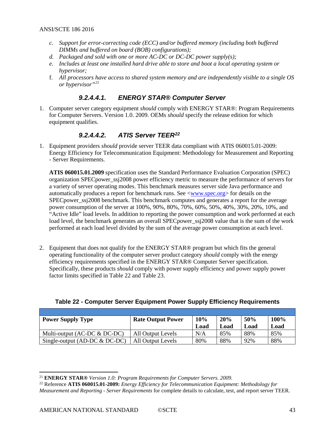- *c. Support for error-correcting code (ECC) and/or buffered memory (including both buffered DIMMs and buffered on board (BOB) configurations);*
- *d. Packaged and sold with one or more AC-DC or DC-DC power supply(s);*
- *e. Includes at least one installed hard drive able to store and boot a local operating system or hypervisor;*
- f. *All processors have access to shared system memory and are independently visible to a single OS or hypervisor"[21](#page-42-1)*

#### *9.2.4.4.1. ENERGY STAR® Computer Server*

1. Computer server category equipment *should* comply with ENERGY STAR®: Program Requirements for Computer Servers. Version 1.0. 2009. OEMs *should* specify the release edition for which equipment qualifies.

## *9.2.4.4.2. ATIS Server TEER[22](#page-42-2)*

1. Equipment providers *should* provide server TEER data compliant with ATIS 060015.01-2009: Energy Efficiency for Telecommunication Equipment: Methodology for Measurement and Reporting - Server Requirements.

**ATIS 060015.01.2009** specification uses the Standard Performance Evaluation Corporation (SPEC) organization SPECpower\_ssj2008 power efficiency metric to measure the performance of servers for a variety of server operating modes. This benchmark measures server side Java performance and automatically produces a report for benchmark runs. See [<www.spec.org>](http://www.spec.org/) for details on the SPEC power ssj2008 benchmark. This benchmark computes and generates a report for the average power consumption of the server at 100%, 90%, 80%, 70%, 60%, 50%, 40%, 30%, 20%, 10%, and "Active Idle" load levels. In addition to reporting the power consumption and work performed at each load level, the benchmark generates an overall SPEC power  $ssj2008$  value that is the sum of the work performed at each load level divided by the sum of the average power consumption at each level.

2. Equipment that does not qualify for the ENERGY STAR® program but which fits the general operating functionality of the computer server product category *should* comply with the energy efficiency requirements specified in the ENERGY STAR® Computer Server specification. Specifically, these products *should* comply with power supply efficiency and power supply power factor limits specified in [Table 22](#page-42-0) and [Table 23.](#page-43-0)

| <b>Power Supply Type</b>        | <b>Rate Output Power</b> | 10%<br>Load | 20%<br>Load | 50%<br>Load | 100%<br>Load |
|---------------------------------|--------------------------|-------------|-------------|-------------|--------------|
| Multi-output $(AC-DC \& DC-DC)$ | All Output Levels        | N/A         | 85%         | 88%         | 85%          |
| Single-output (AD-DC $&$ DC-DC) | All Output Levels        | 80%         | 88%         | 92%         | 88%          |

#### <span id="page-42-0"></span>**Table 22 - Computer Server Equipment Power Supply Efficiency Requirements**

<span id="page-42-1"></span> <sup>21</sup> **ENERGY STAR®** *Version 1.0: Program Requirements for Computer Servers. 2009.*

<span id="page-42-2"></span><sup>22</sup> Reference **ATIS 060015.01-2009:** *Energy Efficiency for Telecommunication Equipment: Methodology for Measurement and Reporting - Server Requirements* for complete details to calculate, test, and report server TEER.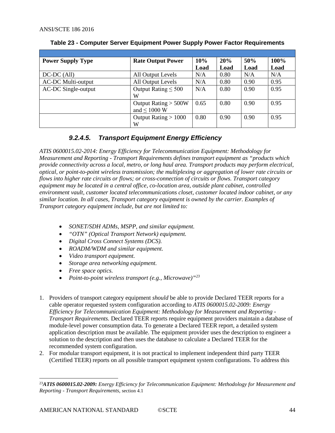| <b>Power Supply Type</b>   | <b>Rate Output Power</b> | 10%  | 20%  | 50%               | 100% |
|----------------------------|--------------------------|------|------|-------------------|------|
|                            |                          | Load | Load | Load              | Load |
| $DC-DC$ (All)              | All Output Levels        | N/A  | 0.80 | N/A               | N/A  |
| <b>AC-DC Multi-output</b>  | All Output Levels        | N/A  | 0.80 | 0.90              | 0.95 |
| <b>AC-DC Single-output</b> | Output Rating $\leq 500$ | N/A  | 0.80 | 0.90              | 0.95 |
|                            | W                        |      |      |                   |      |
|                            | Output Rating > 500W     | 0.65 | 0.80 | 0.90 <sub>1</sub> | 0.95 |
|                            | and $\leq 1000$ W        |      |      |                   |      |
|                            | Output Rating $> 1000$   | 0.80 | 0.90 | 0.90              | 0.95 |
|                            | W                        |      |      |                   |      |

#### <span id="page-43-0"></span>**Table 23 - Computer Server Equipment Power Supply Power Factor Requirements**

## *9.2.4.5. Transport Equipment Energy Efficiency*

*ATIS 0600015.02-2014: Energy Efficiency for Telecommunication Equipment: Methodology for Measurement and Reporting - Transport Requirements defines transport equipment as "products which provide connectivity across a local, metro, or long haul area. Transport products may perform electrical, optical, or point-to-point wireless transmission; the multiplexing or aggregation of lower rate circuits or flows into higher rate circuits or flows; or cross-connection of circuits or flows. Transport category equipment may be located in a central office, co-location area, outside plant cabinet, controlled environment vault, customer located telecommunications closet, customer located indoor cabinet, or any similar location. In all cases, Transport category equipment is owned by the carrier. Examples of Transport category equipment include, but are not limited to:*

- *SONET/SDH ADMs, MSPP, and similar equipment.*
- *"OTN" (Optical Transport Network) equipment.*
- *Digital Cross Connect Systems (DCS).*
- *ROADM/WDM and similar equipment.*
- *Video transport equipment.*
- *Storage area networking equipment.*
- *Free space optics.*
- *Point-to-point wireless transport (e.g., Microwave)"[23](#page-43-1)*
- 1. Providers of transport category equipment *should* be able to provide Declared TEER reports for a cable operator requested system configuration according to *ATIS 0600015.02-2009: Energy Efficiency for Telecommunication Equipment: Methodology for Measurement and Reporting - Transport Requirements.* Declared TEER reports require equipment providers maintain a database of module-level power consumption data. To generate a Declared TEER report, a detailed system application description must be available. The equipment provider uses the description to engineer a solution to the description and then uses the database to calculate a Declared TEER for the recommended system configuration.
- 2. For modular transport equipment, it is not practical to implement independent third party TEER (Certified TEER) reports on all possible transport equipment system configurations. To address this

<span id="page-43-1"></span> <sup>23</sup>*ATIS 0600015.02-2009: Energy Efficiency for Telecommunication Equipment: Methodology for Measurement and Reporting - Transport Requirements,* section 4.1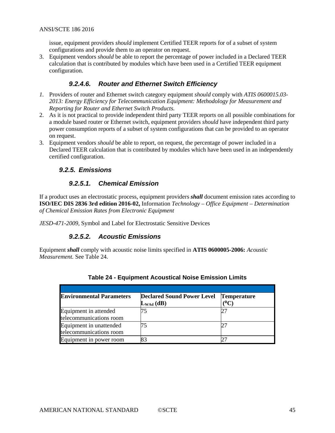issue, equipment providers *should* implement Certified TEER reports for of a subset of system configurations and provide them to an operator on request.

3. Equipment vendors *should* be able to report the percentage of power included in a Declared TEER calculation that is contributed by modules which have been used in a Certified TEER equipment configuration.

#### *9.2.4.6. Router and Ethernet Switch Efficiency*

- *1.* Providers of router and Ethernet switch category equipment *should* comply with *ATIS 0600015.03- 2013: Energy Efficiency for Telecommunication Equipment: Methodology for Measurement and Reporting for Router and Ethernet Switch Products.*
- 2. As it is not practical to provide independent third party TEER reports on all possible combinations for a module based router or Ethernet switch, equipment providers *should* have independent third party power consumption reports of a subset of system configurations that can be provided to an operator on request.
- <span id="page-44-0"></span>3. Equipment vendors *should* be able to report, on request, the percentage of power included in a Declared TEER calculation that is contributed by modules which have been used in an independently certified configuration.

#### *9.2.5. Emissions*

#### *9.2.5.1. Chemical Emission*

If a product uses an electrostatic process, equipment providers *shall* document emission rates according to **[ISO/IEC DIS 2836 3rd](#page-10-9) edition 2016-02,** Information *Technology – Office Equipment – Determination [of Chemical Emission Rates from Electronic Equipment](#page-10-9)*

*[JESD-471-2009,](#page-10-9)* Symbol and Label for Electrostatic Sensitive Devices

#### *9.2.5.2. Acoustic Emissions*

<span id="page-44-1"></span>Equipment *shall* comply with acoustic noise limits specified in **ATIS 0600005-2006:** *Acoustic Measurement.* See [Table 24.](#page-44-1)

| <b>Environmental Parameters</b>                    | <b>Declared Sound Power Level</b><br>$L_{WAd}$ (dB) | <b>Temperature</b><br>(°C |  |
|----------------------------------------------------|-----------------------------------------------------|---------------------------|--|
| Equipment in attended<br>telecommunications room   |                                                     |                           |  |
| Equipment in unattended<br>telecommunications room |                                                     |                           |  |
| Equipment in power room                            |                                                     |                           |  |

#### **Table 24 - Equipment Acoustical Noise Emission Limits**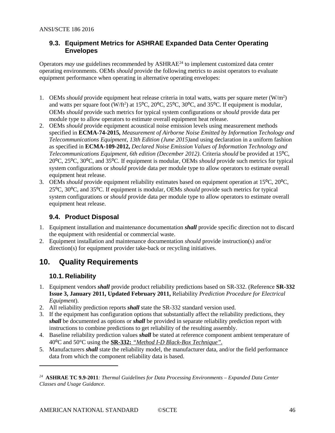#### <span id="page-45-0"></span>**9.3. Equipment Metrics for ASHRAE Expanded Data Center Operating Envelopes**

Operators *may* use guidelines recommended by ASHRAE<sup>[24](#page-45-4)</sup> to implement customized data center operating environments. OEMs *should* provide the following metrics to assist operators to evaluate equipment performance when operating in alternative operating envelopes:

- 1. OEMs *should* provide equipment heat release criteria in total watts, watts per square meter (W/m<sup>2</sup>) and watts per square foot (W/ft<sup>2</sup>) at 15<sup>o</sup>C, 20<sup>o</sup>C, 25<sup>o</sup>C, 30<sup>o</sup>C, and 35<sup>o</sup>C. If equipment is modular, OEMs *should* provide such metrics for typical system configurations or *should* provide data per module type to allow operators to estimate overall equipment heat release.
- 2. OEMs *should* provide equipment acoustical noise emission levels using measurement methods specified in **ECMA-74-2015,** *[Measurement of Airborne Noise Emitted by Information Techology and](#page-7-7)  [Telecommunications Equipment, 13th](#page-7-7) Edition (June 2015)*and using declaration in a uniform fashion as specified in **ECMA-109-2012,** *[Declared Noise Emission Values of Information Technology and](#page-7-8)  [Telecommunications Equipment, 6th edition \(December 2012\)](#page-7-8)*. Criteria *should* be provided at 15⁰C, 20⁰C, 25⁰C, 30⁰C, and 35⁰C. If equipment is modular, OEMs *should* provide such metrics for typical system configurations or *should* provide data per module type to allow operators to estimate overall equipment heat release.
- 3. OEMs *should* provide equipment reliability estimates based on equipment operation at 15<sup>o</sup>C, 20<sup>o</sup>C, 25⁰C, 30⁰C, and 35⁰C. If equipment is modular, OEMs *should* provide such metrics for typical system configurations or *should* provide data per module type to allow operators to estimate overall equipment heat release.

### <span id="page-45-1"></span>**9.4. Product Disposal**

- 1. Equipment installation and maintenance documentation *shall* provide specific direction not to discard the equipment with residential or commercial waste.
- 2. Equipment installation and maintenance documentation *should* provide instruction(s) and/or direction(s) for equipment provider take-back or recycling initiatives.

## <span id="page-45-2"></span>**10. Quality Requirements**

### <span id="page-45-3"></span>**10.1. Reliability**

 $\overline{a}$ 

- 1. Equipment vendors *shall* provide product reliability predictions based on SR-332. (Reference **[SR-332](#page-10-10)  [Issue 3, January 2011, Updated February 2011,](#page-10-10)** Reliability *Prediction Procedure for Electrical [Equipment](#page-10-10)*).
- 2. All reliability prediction reports *shall* state the SR-332 standard version used.
- 3. If the equipment has configuration options that substantially affect the reliability predictions, they *shall* be documented as options or *shall* be provided in separate reliability prediction report with instructions to combine predictions to get reliability of the resulting assembly.
- 4. Baseline reliability prediction values *shall* be stated at reference component ambient temperature of 40⁰C and 50°C using the **SR-332:** *["Method I-D Black-Box Technique"](#page-10-10)*.
- 5. Manufacturers *shall* state the reliability model, the manufacturer data, and/or the field performance data from which the component reliability data is based.

<span id="page-45-4"></span>*<sup>24</sup>* **ASHRAE TC 9.9-2011***: Thermal Guidelines for Data Processing Environments – Expanded Data Center Classes and Usage Guidance.*